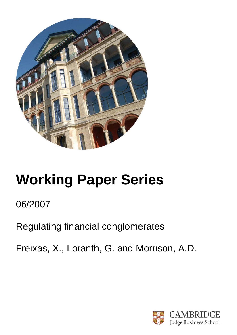

# **Working Paper Series**

# 06/2007

Regulating financial conglomerates

Freixas, X., Loranth, G. and Morrison, A.D.

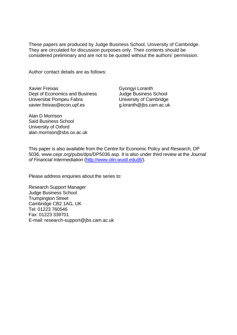These papers are produced by Judge Business School, University of Cambridge. They are circulated for discussion purposes only. Their contents should be considered preliminary and are not to be quoted without the authors' permission.

Author contact details are as follows:

Xavier Freixas Dept of Economics and Business Universitat Pompeu Fabra xavier.freixas@econ.upf.es

Gyongyi Loranth Judge Business School University of Cambridge g.loranth@jbs.cam.ac.uk

Alan D Morrison Saïd Business School University of Oxford alan.morrison@sbs.ox.ac.uk

This paper is also available from the Centre for Economic Policy and Research, DP 5036, www.cepr.org/pubs/dps/DP5036.asp. It is also under third review at the *Journal of Financial Intermediation* (http://www.olin.wustl.edu/jfi/).

Please address enquiries about the series to:

Research Support Manager Judge Business School Trumpington Street Cambridge CB2 1AG, UK Tel: 01223 760546 Fax: 01223 339701 E-mail: research-support@jbs.cam.ac.uk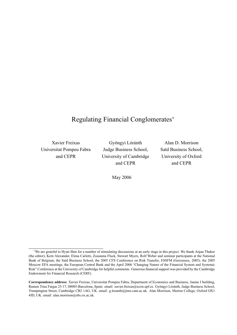# Regulating Financial Conglomerates\*

Xavier Freixas Universitat Pompeu Fabra and CEPR

Gyöngyi Lóránth Judge Business School, University of Cambridge and CEPR

Alan D. Morrison Saïd Business School, University of Oxford and CEPR

**May 2006** 

<sup>\*</sup>We are grateful to Hyun Shin for a number of stimulating discussions at an early stage in this project. We thank Anjan Thakor (the editor), Kern Alexander, Elena Carletti, Zsusanna Fluck, Stewart Myers, Rolf Weber and seminar participants at the National Bank of Belgium, the Saïd Business School, the 2005 CFS Conference on Risk Transfer, ESSFM (Gerzensee, 2005), the 2005 Moscow EFA meetings, the European Central Bank and the April 2006 "Changing Nature of the Financial System and Systemic Risk" Conference at the University of Cambridge for helpful comments. Generous financial support was provided by the Cambridge Endowment for Financial Research (CERF).

Correspondence address: Xavier Freixas, Universitat Pompeu Fabra, Department of Economics and Business, Jaume I building, Ramon Trias Fargas 25-17, 08005-Barcelona, Spain. email: xavier.freixas@econ.upf.es. Gyöngyi Lóránth, Judge Business School, Trumpington Street, Cambridge CB2 1AG, UK. email: g.loranth@jims.cam.ac.uk. Alan Morrison, Merton College, Oxford OX1 4JD, UK. email: alan.morrison@sbs.ox.ac.uk.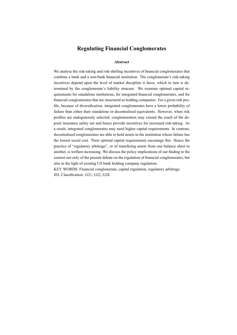### **Regulating Financial Conglomerates**

#### Abstract

We analyse the risk-taking and risk-shifting incentives of financial conglomerates that combine a bank and a non-bank financial institution. The conglomerate's risk-taking incentives depend upon the level of market discipline it faces, which in turn is determined by the conglomerate's liability strucure. We examine optimal capital requirements for standalone institutions, for integrated financial conglomerates, and for financial conglomerates that are structured as holding companies. For a given risk profile, because of diversification, integrated conglomerates have a lower probability of failure than either their standalone or decentralised equivalents. However, when risk profiles are endogenously selected, conglomeration may extend the reach of the deposit insurance safety net and hence provide incentives for increased risk-taking. As a result, integrated conglomerates may need higher capital requirements. In contrast, decentralised conglomerates are able to hold assets in the institution whose failure has the lowest social cost. Their optimal capital requirements encourage this. Hence the practice of "regulatory arbitrage", or of transfering assets from one balance sheet to another, is welfare-increasing. We discuss the policy implications of our finding in the context not only of the present debate on the regulation of financial conglomerates, but also in the light of existing US bank holding company regulation.

KEY WORDS: Financial conglomerate, capital regulation, regulatory arbitrage. JEL Classification: G21, G22, G28.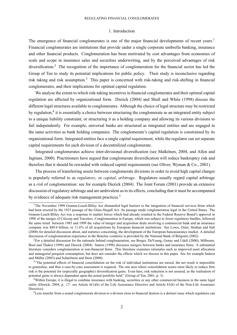#### 1. Introduction

The emergence of financial conglomerates is one of the major financial developments of recent years.<sup>1</sup> Financial conglomerates are institutions that provide under a single corporate umbrella banking, insurance and other financial products. Conglomeration has been motivated by cost advantages from economies of scale and scope in insurance sales and securities underwriting, and by the perceived advantages of risk diversification.<sup>2</sup> The recognition of the importance of conglomeration for the financial sector has led the Group of Ten to study its potential implications for public policy. Their study is inconclusive regarding risk taking and risk assumption.<sup>3</sup> This paper is concerned with risk-taking and risk-shifting in financial conglomerates, and their implications for optimal capital regulation.

We analyse the extent to which risk-taking incentives in financial conglomerates and their optimal capital regulation are affected by organizational form. Dierick (2004) and Shull and White (1998) discuss the different legal structures available to conglomerates. Although the choice of legal structure may be restricted by regulation,<sup>4</sup> it is essentially a choice between structuring the conglomerate as an integrated entity subject to a unique liability constraint, or structuring it as a holding company and allowing its various divisions to fail independently. For example, universal banks are structured as integrated entities and are engaged in the same activities as bank holding companies. The conglomerate's capital regulation is constrained by its organizational form. Integrated entities face a single capital requirement, while the regulator can set separate capital requirements for each division of a decentralized conglomerate.

Integrated conglomerates achieve inter-divisional diversification (see Malkönen, 2004, and Allen and Jagtiani, 2000). Practitioners have argued that conglomerate diversification will reduce bankruptcy risk and therefore that it should be rewarded with reduced capital requirements (see Oliver, Wyman & Co., 2001).

The process of transferring assets between conglomerate divisions in order to avoid high capital charges is popularly referred to as regulatory, or capital, arbitrage. Regulators usually regard capital arbitrage as a risk of conglomeration: see for example Dierick (2004). The Joint Forum (2001) provide an extensive discussion of regulatory arbitrage and are ambivalent as to its effects, concluding that it must be accompanied by evidence of adequate risk management practices.<sup>5</sup>

 $1$ The November 1999 Gramm-Leach-Blilev Act dismantled legal barriers to the integration of financial services firms which had been erected by the 1933 passage of the Glass-Stegall Act. Its passage made conglomeration legal in the United States. The Gramm-Leach-Bliley Act was a response to market forces which had already resulted in the Federal Reserve Board's approval in 1998 of the merger of Citicorp and Travelers. Conglomeration in Europe, which was subject to fewer regulatory hurdles, followed the same trend: between 1985 and 1999 the value of merger and acquisition deals involving a commercial bank and an insurance company was \$89.6 billion, or 11.6% of all acquisitions by European financial institutions. See Lown, Osler, Strahan and Sufi (2000) for detailed discussion about, and statistics concerning, the development of the European bancassurance market. A detailed discussion of conglomeration experience in the Benelux countries is provided by the National Bank of Belgium (2002).

 ${}^{2}$ For a detailed discussion for the rationale behind conglomeration, see Berger, DeYoung, Genay and Udell (2000), Milbourn, Boot and Thakor (1999) and Dierick (2004). Santos (1998) discusses mergers between banks and insurance firms. A substantial literature considers conglomeration in non-financial firms. This literature examines rationales such as improved asset allocation and managerial perquisit consumption, but does not consider the effects which we discuss in this paper. See for example Inderst and Müller (2003) and Scharfstein and Stein (2000).

<sup>&</sup>lt;sup>3</sup>"The potential effects of financial consolidation on the risk of individual institutions are mixed, the net result is impossible to generalise, and thus a case-by-case assessment is required. The one area where consolidation seems most likely to reduce firm risk is the potential for (especially geographic) diversification gains. Even here, risk reduction is not assured, as the realisation of potential gains is always dependent upon the actual portfolio held." (Group of Ten, 2001, p. 3)

<sup>&</sup>lt;sup>4</sup>Within Europe, it is illegal to combine insurance with banking, securities or any other commercial business in the same legal entity (Dierick, 2004, p. 17: see Article  $6(1)(b)$  of the Life Asssurance Directive and Article 81(b) of the Non-Life Assurance Directive).

 ${}^{5}$ Loss transfer from a sound conglomerate division to a divison close to financial distress is a distinct issue which regulators can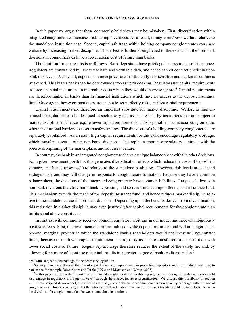In this paper we argue that these commonly-held views may be mistaken. First, diversification within integrated conglomerates increases risk-taking incentives. As a result, it may even lower welfare relative to the standalone institution case. Second, capital arbitrage within holding company conglomerates can *raise* welfare by increasing market discipline. This effect is further strengthened to the extent that the non-bank divisions in conglomerates have a lower social cost of failure than banks.

The intuition for our results is as follows. Bank depositors have privileged access to deposit insurance. Regulators are constrained by law to use hard and verifiable data, and hence cannot contract precisely upon bank risk levels. As a result, deposit insurance prices are insufficiently risk-sensitive and market discipline is weakened. This biases bank shareholders towards excessive risk-taking. Regulators use capital requirements to force financial institutions to internalise costs which they would otherwise ignore.<sup>6</sup> Capital requirements are therefore higher in banks than in financial institutions which have no access to the deposit insurance fund. Once again, however, regulators are unable to set perfectly risk-sensitive capital requirements.

Capital requirements are therefore an imperfect substitute for market discipline. Welfare is thus enhanced if regulations can be designed in such a way that assets are held by institutions that are subject to market discipline, and hence require lower capital requirements. This is possible in a financial conglomerate, where institutional barriers to asset transfers are low. The divisions of a holding-company conglomerate are separately-capitalised. As a result, high capital requirements for the bank encourage regulatory arbitrage, which transfers assets to other, non-bank, divisions. This replaces imprecise regulatory contracts with the precise disciplining of the marketplace, and so raises welfare.

In contrast, the bank in an integrated conglomerate shares a unique balance sheet with the other divisions. For a given investment portfolio, this generates diversification effects which reduce the costs of deposit insurance, and hence raises welfare relative to the standalone bank case. However, risk levels are selected endogenously and they will change in response to conglomerate formation. Because they have a common balance sheet, the divisions of the integrated conglomerate have common liabilities. Large-scale losses in non-bank divisions therefore harm bank depositors, and so result in a call upon the deposit insurance fund. This mechanism extends the reach of the deposit insurance fund, and hence reduces market discipline relative to the standalone case in non-bank divisions. Depending upon the benefits derived from diversification, this reduction in market discipline may even justify *higher* capital requirements for the conglomerate than for its stand alone constituents.

In contrast with commonly received opinion, regulatory arbitrage in our model has three unambiguously positive effects. First, the investment distortions induced by the deposit insurance fund will no longer occur. Second, marginal projects in which the standalone bank's shareholders would not invest will now attract funds, because of the lower capital requirement. Third, risky assets are transferred to an institution with lower social costs of failure. Regulatory arbitrage therefore reduces the extent of the safety net and, by allowing for a more efficient use of capital, results in a greater degree of bank credit extension.<sup>7</sup>

deal with, subject to the passage of the necessary legislation.

<sup>&</sup>lt;sup>6</sup>Other papers have stressed the role of capital adequacy requirements in protecting depositors and in providing incentives to banks: see for example Dewatripont and Tirole (1993) and Morrison and White (2005).

 $7$ In this paper we stress the importance of financial conglomerates in facilitating regulatory arbitrage. Standalone banks could also engage in regulatory arbitrage, however, through the market for asset securitization. We discuss this possibility in section 4.1. In our stripped-down model, securitization would generate the same welfare benefits as regulatory arbitrage within financial conglomerates. However, we argue that the informational and institutional frictions to asset transfer are likely to be lower between the divisions of a conglomerate than between standalone institutions.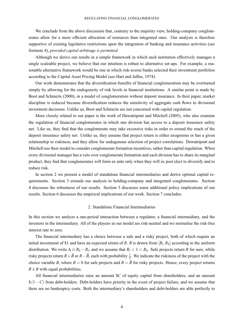We conclude from the above discussion that, contrary to the majority view, holding-company conglomerates allow for a more efficient allocation of resources than integrated ones. Our analysis is therefore supportive of existing legislative restrictions upon the integration of banking and insurance activities (see footnote 4), provided capital arbitrage is permitted.

Although we derive our results in a simple framework in which each institution effectively manages a single scaleable project, we believe that our intuition is robust to alternative set-ups. For example, a reasonable alternative framework would be one in which risk-averse banks selected their investment portfolios according to the Capital Asset Pricing Model (see Hart and Jaffee, 1974).

Our work demonstrates that the diversification benefits of financial conglomeration may be overturned simply by allowing for the endogeneity of risk levels in financial institutions. A similar point is made by Boot and Schmeits (2000), in a model of conglomeration without deposit insurance. In their paper, market discipline is reduced because diversification reduces the sensitivity of aggregate cash flows to divisional investment decisions. Unlike us, Boot and Schmeits are not concerned with capital regulation.

More closely related to our paper is the work of Dewatripont and Mitchell (2005), who also examine the regulation of financial conglomerates in which one division has access to a deposit insurance safety net. Like us, they find that the conglomerate may take excessive risks in order to extend the reach of the deposit insurance safety net. Unlike us, they assume that project return is either exogenous or has a given relationship to riskiness, and they allow for endogenous selection of project correlations. Dewatripont and Mitchell use their model to consider conglomerate formation incentives, rather than capital regulation. When every divisional manager has a veto over conglomerate formation and each division has to share its marginal product, they find that conglomerates will form ex ante only when they will ex post elect to diversify and to reduce risk.

In section 2 we present a model of standalone financial intermediaries and derive optimal capital requirements. Section 3 extends our analysis to holding-company and integrated conglomerates. Section 4 discusses the robustness of our results. Section 5 discusses some additional policy implications of our results. Section 6 discusses the empirical implications of our work. Section 7 concludes.

#### 2. Standalone Financial Intermediaries

In this section we analyze a one-period interaction between a regulator, a financial intermediary, and the investors in the intermediary. All of the players in our model are risk-neutral and we normalise the risk-free interest rate to zero.

The financial intermediary has a choice between a safe and a risky project, both of which require an initial investment of \$1 and have an expected return of R. R is drawn from  $[R_l, R_h]$  according to the uniform distribution. We write  $\Delta \equiv R_h - R_l$ , and we assume that  $R_l < 1 < R_h$ . Safe projects return R for sure, while risky projects return  $R + \bar{B}$  or  $R - \bar{B}$ , each with probability  $\frac{1}{2}$ . We indicate the riskiness of the project with the choice variable B, where  $B = 0$  for safe projects and  $B = \overline{B}$  for risky projects. Hence, every project returns  $R \pm B$  with equal probabilities.

All financial intermediaries raise an amount  $SC$  of equity capital from shareholders, and an amount  $\$(1-C)$  from debt-holders. Debt-holders have priority in the event of project failure, and we assume that there are no bankruptcy costs. Both the intermediary's shareholders and debt-holders are able perfectly to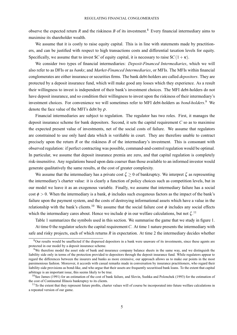observe the expected return  $R$  and the riskiness  $B$  of its investment.<sup>8</sup> Every financial intermediary aims to maximise its shareholder wealth.

We assume that it is costly to raise equity capital. This is in line with statements made by practitioners, and can be justified with respect to high transactions costs and differential taxation levels for equity. Specifically, we assume that to invest \$C of equity capital, it is necessary to raise  $\mathcal{S}C(1+\kappa)$ .

We consider two types of financial intermediaries: *Deposit-Financed Intermediaries*, which we will also refer to as DFIs or as *banks*; and *Market-Financed Intermediaries*, or MFIs. The MFIs within financial conglomerates are either insurance or securities firms. The bank debt-holders are called *depositors*. They are protected by a deposit insurance fund, which will make good any losses which they experience. As a result their willingness to invest is independent of their bank's investment choices. The MFI debt-holders do not have deposit insurance, and so condition their willingness to invest upon the riskiness of their intermediary's investment choices. For convenience we will sometimes refer to MFI debt-holders as bond-holders.<sup>9</sup> We denote the face value of the MFI's debt by  $\rho$ .

Financial intermediaries are subject to regulation. The regulator has two roles. First, it manages the deposit insurance scheme for bank depositors. Second, it sets the capital requirement  $C$  so as to maximise the expected present value of investments, net of the social costs of failure. We assume that regulators are constrained to use only hard data which is verifiable in court. They are therefore unable to contract precisely upon the return  $R$  or the riskiness  $B$  of the intermediary's investment. This is consonant with observed regulation: if perfect contracting was possible, command-and-control regulation would be optimal. In particular, we assume that deposit insurance premia are zero, and that capital regulation is completely risk-insensitive. Any regulations based upon data coarser than those available to an informed investor would generate qualitatively the same results, at the cost of greater complexity.

We assume that the intermediary has a private cost  $\zeta \ge 0$  of bankruptcy. We interpret  $\zeta$  as representing the intermediary's charter value: it is clearly a function of policy choices such as competition levels, but in our model we leave it as an exogenous variable. Finally, we assume that intermediary failure has a social cost  $\phi > 0$ . When the intermediary is a bank,  $\phi$  includes such exogenous factors as the impact of the bank's failure upon the payment system, and the costs of destroying informational assets which have a value in the relationship with the bank's clients.<sup>10</sup> We assume that the social failure cost  $\phi$  includes any social effects which the intermediary cares about. Hence we include  $\phi$  in our welfare calculations, but not  $\zeta$ .<sup>11</sup>

Table 1 summarizes the symbols used in this section. We summarise the game that we study in figure 1. At time 0 the regulator selects the capital requirement  $C$ . At time 1 nature presents the intermediary with safe and risky projects, each of which returns  $R$  in expectation. At time 2 the intermediary decides whether

<sup>&</sup>lt;sup>8</sup>Our results would be unaffected if the dispersed depositors in a bank were unaware of its investments, since these agents are protected in our model by a deposit insurance scheme.

<sup>&</sup>lt;sup>9</sup>We therefore model the asset side of bank and insurance company balance sheets in the same way, and we distinguish the liability side only in terms of the protection provided to depositors through the deposit insurance fund. While regulators appear to regard the differences between the insurers and banks as more extensive, our approach allows us to make our points in the most parsimonious fashion. Moreover, it accords with casual remarks made in conversation by insurance practitioners, who regard their liability-side provisions as bond-like, and who argue that their assets are frequently securitised bank loans. To the extent that capital arbitrage is an important issue, this seems likely to be true.

 $10$  See James (1991) for an estimation of the cost of bank failure, and Slovin, Sushka and Polonchek (1993) for the estimation of the cost of Continental Illinois bankruptcy to its clients.

<sup>&</sup>lt;sup>11</sup>To the extent that they represent future profits, charter values will of course be incorporated into future welfare calculations in a repeated version of our game.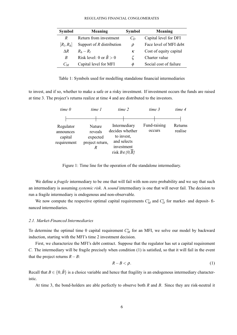| <b>Symbol</b> | <b>Meaning</b>                 | <b>Symbol</b> | Meaning                |
|---------------|--------------------------------|---------------|------------------------|
| R             | Return from investment         | $C_D$         | Capital level for DFI  |
| $[R_l, R_h]$  | Support of $R$ distribution    | ρ             | Face level of MFI debt |
| ΛR            | $R_h - R_l$                    | к             | Cost of equity capital |
| B             | Risk level: 0 or $\bar{B} > 0$ |               | Charter value          |
| $C_M$         | Capital level for MFI          | Φ             | Social cost of failure |

Table 1: Symbols used for modelling standalone financial intermediaries

to invest, and if so, whether to make a safe or a risky investment. If investment occurs the funds are raised at time 3. The project's returns realize at time 4 and are distributed to the investors.



Figure 1: Time line for the operation of the standalone intermediary.

We define a *fragile* intermediary to be one that will fail with non-zero probability and we say that such an intermediary is assuming *systemic risk*. A *sound* intermediary is one that will never fail. The decision to run a fragile intermediary is endogenous and non-observable.

We now compute the respective optimal capital requirements  $C_M^*$  and  $C_D^*$  for market- and deposit- financed intermediaries.

#### 2.1. Market-Financed Intermediaries

To determine the optimal time 0 capital requirement  $C_M^*$  for an MFI, we solve our model by backward induction, starting with the MFI's time 2 investment decision.

First, we characterize the MFI's debt contract. Suppose that the regulator has set a capital requirement C. The intermediary will be fragile precisely when condition (1) is satisfied, so that it will fail in the event that the project returns  $R - B$ :

$$
R - B < \rho. \tag{1}
$$

Recall that  $B \in \{0,\bar{B}\}\$ is a choice variable and hence that fragility is an endogenous intermediary characteristic.

At time 3, the bond-holders are able perfectly to observe both  $R$  and  $B$ . Since they are risk-neutral it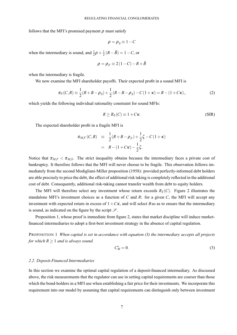follows that the MFI's promised payment  $\rho$  must satisfy

$$
\rho=\rho_S\equiv 1-C
$$

when the intermediary is sound, and  $\frac{1}{2}\rho + \frac{1}{2}(R - \bar{B}) = 1 - C$ , or

$$
\rho = \rho_F \equiv 2(1-C) - R + \bar{B}
$$

when the intermediary is fragile.

We now examine the MFI shareholder payoffs. Their expected profit in a sound MFI is

$$
\pi_S(C,R) \equiv \frac{1}{2}(R+B-\rho_S) + \frac{1}{2}(R-B-\rho_S) - C(1+\kappa) = R - (1+C\kappa),\tag{2}
$$

which yields the following individual rationality constraint for sound MFIs:

$$
R \ge R_S(C) \equiv 1 + C\kappa. \tag{SIR}
$$

The expected shareholder profit in a fragile MFI is

$$
\pi_{M,F}(C,R) \equiv \frac{1}{2}(R+B-\rho_F) + \frac{1}{2}\zeta - C(1+\kappa)
$$

$$
= R - (1+C\kappa) - \frac{1}{2}\zeta.
$$

Notice that  $\pi_{M,F} < \pi_{M,S}$ . The strict inequality obtains because the intermediary faces a private cost of bankruptcy. It therefore follows that the MFI will never choose to be fragile. This observation follows immediately from the second Modigliani-Miller proposition (1958): provided perfectly-informed debt holders are able precisely to price the debt, the effect of additional risk taking is completely reflected in the additional cost of debt. Consequently, additional risk-taking cannot transfer wealth from debt to equity holders.

The MFI will therefore select any investment whose return exceeds  $R_S(C)$ . Figure 2 illustrates the standalone MFI's investment choices as a function of  $C$  and  $R$ : for a given  $C$ , the MFI will accept any investment with expected return in excess of  $1 + C\kappa$ , and will select B so as to ensure that the intermediary is sound, as indicated on the figure by the script  $\mathcal{S}$ .

Proposition 1, whose proof is immediate from figure 2, states that market discipline will induce marketfinanced intermediaries to adopt a first-best investment strategy in the absence of capital regulation.

PROPOSITION 1 When capital is set in accordance with equation  $(3)$  the intermediary accepts all projects for which  $R \geq 1$  and is always sound.

$$
C_M^* = 0. \tag{3}
$$

#### 2.2. Deposit-Financed Intermediaries

In this section we examine the optimal capital regulation of a deposit-financed intermediary. As discussed above, the risk measurements that the regulator can use in setting capital requirements are coarser than those which the bond-holders in a MFI use when establishing a fair price for their investments. We incorporate this requirement into our model by assuming that capital requirements can distinguish only between investment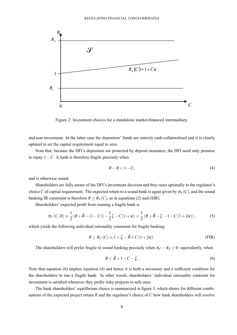

Figure 2: Investment choices for a standalone market-financed intermediary.

and non-investment. In the latter case the depositors' funds are entirely cash-collateralised and it is clearly optimal to set the capital requirement equal to zero.

Note that, because the DFI's depositors are protected by deposit insurance, the DFI need only promise to repay  $1 - C$ . A bank is therefore fragile precisely when

$$
R - B < 1 - C,\tag{4}
$$

and is otherwise sound.

Shareholders are fully aware of the DFI's investment decision and they react optimally to the regulator's choice C of capital requirement. The expected return to a sound bank is again given by  $\pi_S(C)$ , and the sound banking IR constraint is therefore  $R \ge R_S(C)$ , as in equations (2) and (SIR).

Shareholders' expected profit from running a fragile bank is

$$
\pi_F(C,R) \equiv \frac{1}{2} \left( R + \bar{B} - (1 - C) \right) - \frac{1}{2} \zeta - C \left( 1 + \kappa \right) = \frac{1}{2} \left( R + \bar{B} - \zeta - 1 - C \left( 1 + 2\kappa \right) \right),\tag{5}
$$

which yields the following individual rationality constraint for fragile banking:

$$
R \ge R_F(C) \equiv 1 + \zeta - \bar{B} + C(1 + 2\kappa). \tag{FIR}
$$

The shareholders will prefer fragile to sound banking precisely when  $\pi_F - \pi_S > 0$ : equivalently, when

$$
R < \bar{B} + 1 - C - \zeta. \tag{6}
$$

Note that equation (6) implies equation (4) and hence it is both a necessary and a sufficient condition for the shareholders to run a fragile bank. In other words, shareholders' individual rationality contraint for investment is satisfied whenever they prefer risky projects to safe ones.

The bank shareholders' equilibrium choice is summarized in figure 3, which shows for different combinations of the expected project return  $R$  and the regulator's choice of  $C$  how bank shareholders will resolve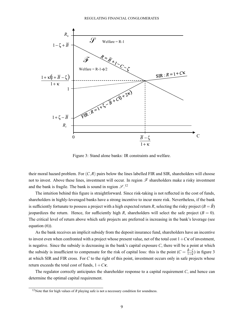

Figure 3: Stand alone banks: IR constraints and welfare.

their moral hazard problem. For  $(C, R)$  pairs below the lines labelled FIR and SIR, shareholders will choose not to invest. Above these lines, investment will occur. In region  $\mathscr F$  shareholders make a risky investment and the bank is fragile. The bank is sound in region  $\mathscr{S}^{12}$ .

The intuition behind this figure is straightforward. Since risk-taking is not reflected in the cost of funds, shareholders in highly-leveraged banks have a strong incentive to incur more risk. Nevertheless, if the bank is sufficiently fortunate to possess a project with a high expected return R, selecting the risky project  $(B = \bar{B})$ jeopardizes the return. Hence, for sufficiently high R, shareholders will select the safe project  $(B = 0)$ . The critical level of return above which safe projects are preferred is increasing in the bank's leverage (see equation  $(6)$ ).

As the bank receives an implicit subsidy from the deposit insurance fund, shareholders have an incentive to invest even when confronted with a project whose present value, net of the total cost  $1 + C\kappa$  of investment, is negative. Since the subsidy is decreasing in the bank's capital exposure  $C$ , there will be a point at which the subsidy is insufficient to compensate for the risk of capital loss: this is the point  $(C = \frac{\overline{B} - \zeta}{1 + \kappa})$  in figure 3 at which SIR and FIR cross. For  $C$  to the right of this point, investment occurs only in safe projects whose return exceeds the total cost of funds,  $1 + C\kappa$ .

The regulator correctly anticipates the shareholder response to a capital requirement  $C$ , and hence can determine the optimal capital requirement.

 $\frac{12}{12}$  Note that for high values of R playing safe is not a necessary condition for soundness.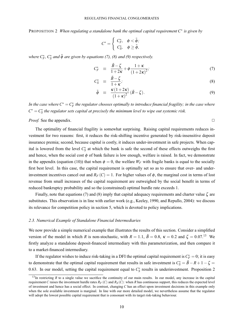**PROPOSITION 2** When regulating a standalone bank the optimal capital requirement  $C^*$  is given by

$$
C^* = \left\{ \begin{array}{ll} C_F^*, & \phi < \bar{\phi}; \\ C_S^*, & \phi \geq \bar{\phi}, \end{array} \right.
$$

where  $C_F^*$ ,  $C_S^*$  and  $\bar{\phi}$  are given by equations (7), (8) and (9) respectively.

$$
C_F^* \equiv \frac{\bar{B}-\zeta}{1+2\kappa} + \phi \frac{1+\kappa}{(1+2\kappa)^2};
$$
\n<sup>(7)</sup>

$$
C_S^* \equiv \frac{\bar{B} - \zeta}{1 + \kappa}.
$$
\n(8)

$$
\bar{\phi} = \frac{\kappa (1 + 2\kappa)}{\left(1 + \kappa\right)^2} (\bar{B} - \zeta). \tag{9}
$$

In the case where  $C^* = C_F^*$  the regulator chooses optimally to introduce financial fragility; in the case where  $C^* = C^*_{\rm s}$  the regulator sets capital at precisely the minimum level to wipe out systemic risk.

*Proof.* See the appendix.

 $\Box$ 

The optimality of financial fragility is somewhat surprising. Raising capital requirements reduces investment for two reasons: first, it reduces the risk-shifting incentive generated by risk-insensitive deposit insurance premia; second, because capital is costly, it induces under-investment in safe projects. When capital is lowered from the level  $C_s^*$  at which the bank is safe the second of these effects outweighs the first and hence, when the social cost  $\phi$  of bank failure is low enough, welfare is raised. In fact, we demonstrate in the appendix (equation (10)) that when  $\phi = 0$ , the welfare  $W_F$  with fragile banks is equal to the socially first best level. In this case, the capital requirement is optimally set so as to ensure that over- and underinvestment incentives cancel out and  $R_F(C) = 1$ . For higher values of  $\phi$ , the marginal cost in terms of lost revenue from small increases of the capital requirement are outweighed by the social benefit in terms of reduced bankruptcy probability and so the (constrained) optimal hurdle rate exceeds 1.

Finally, note that equations (7) and (8) imply that capital adequacy requirements and charter value  $\zeta$  are substitutes. This observation is in line with earlier work (e.g., Keeley, 1990, and Repullo, 2004): we discuss its relevance for competition policy in section 5, which is devoted to policy implications.

#### 2.3. Numerical Example of Standalone Financial Intermediaries

We now provide a simple numerical example that illustrates the results of this section. Consider a simplified version of the model in which R is non-stochastic, with  $R = 1.1$ ,  $\bar{B} = 0.8$ ,  $\kappa = 0.2$  and  $\zeta = 0.07$ .<sup>13</sup> We firstly analyze a standalone deposit-financed intermediary with this parameterization, and then compare it to a market-financed intermediary.

If the regulator wishes to induce risk-taking in a DFI the optimal capital requirement is  $C_F^* = 0$ ; it is easy to demonstrate that the optimal capital requirement that results in safe investment is  $C_S^* = \overline{B} - R + 1 - \zeta =$ 0.63. In our model, setting the capital requirement equal to  $C_s^*$  results in underinvestment. Proposition 2

 $^{13}$ In restricting R to a single value we sacrifice the continuity of our main results. In our model, any increase in the capital requirement C raises the investment hurdle rates  $R_F(C)$  and  $R_S(C)$ : when R has continuous support, this reduces the expected level of investment and hence has a social effect. In contrast, changing C has an effect upon investment decisions in this example only when the sole available investment is marginal. In line with our more detailed model, we nevertheless assume that the regulator will adopt the lowest possible capital requirement that is consonant with its target risk-taking behaviour.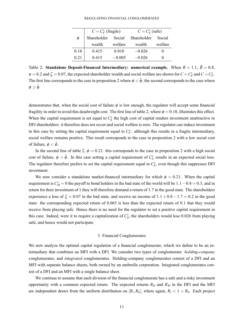|      | $C = C_F^*$ (fragile) |          | $C = C_{S}^{*}$ (safe) |                   |  |
|------|-----------------------|----------|------------------------|-------------------|--|
| Ø    | Shareholder           | Social   | Shareholder            | Social            |  |
|      | wealth                | welfare  | wealth                 | welfare           |  |
| 0.18 | 0.415                 | 0.010    | $-0.026$               | 0                 |  |
| 0.21 | 0.415                 | $-0.005$ | $-0.026$               | $\mathbf{\Omega}$ |  |

Table 2: Standalone Deposit-Financed Intermediary: numerical example. When  $R = 1.1$ ,  $\bar{B} = 0.8$ ,  $\kappa = 0.2$  and  $\zeta = 0.07$ , the expected shareholder wealth and social welfare are shown for  $C = C_S^*$  and  $C = C_F^*$ . The first line corresponds to the case in proposition 2 where  $\phi < \bar{\phi}$ ; the second corresponds to the case where  $\phi \geq \phi$ .

demonstrates that, when the social cost of failure  $\phi$  is low enough, the regulator will accept some financial fragility in order to avoid this deadweight cost. The first line of table 2, where  $\phi = 0.18$ , illustrates this effect. When the capital requirement is set equal to  $C_S^*$  the high cost of capital renders investment unattractive to DFI shareholders: it therefore does not occur and social welfare is zero. The regulator can induce investment in this case by setting the capital requirement equal to  $C_F^*$ : although this results in a fragile intermediary, social welfare remains positive. This result corresponds to the case in proposition 2 with a low social cost of failure,  $\phi < \bar{\phi}$ .

In the second line of table 2,  $\phi = 0.21$ : this corresponds to the case in proposition 2 with a high social cost of failure,  $\phi > \bar{\phi}$ . In this case setting a capital requirement of  $C_F^*$  results in an expected social loss. The regulator therefore prefers to set the capital requirement equal to  $C_s^*$ , even though this suppresses DFI investment.

We now consider a standalone market-financed intermediary for which  $\phi = 0.21$ . When the capital requirement is  $C_M^* = 0$  the payoff to bond holders in the bad state of the world will be  $1.1 - 0.8 = 0.3$ , and in return for their investment of 1 they will therefore demand a return of 1.7 in the good state. The shareholders experience a loss of  $\zeta = 0.07$  in the bad state, and receive an income of  $1.1 + 0.8 - 1.7 = 0.2$  in the good state: the corresponding expected return of 0.065 is less than the expected return of 0.1 that they would receive from playing safe. Hence there is no need for the regulator to set a positive capital requirement in this case. Indeed, were it to require a capitalization of  $C_s^*$ , the shareholders would lose 0.026 from playing safe, and hence would not participate.

#### 3. Financial Conglomerates

We now analyze the optimal capital regulation of a financial conglomerate, which we define to be an intermediary that combines an MFI with a DFI. We consider two types of conglomerate: holding-company conglomerates, and integrated conglomerates. Holding-company conglomerates consist of a DFI and an MFI with separate balance sheets, both owned by an umbrella corporation. Integrated conglomerates consist of a DFI and an MFI with a single balance sheet.

We continue to assume that each division of the financial conglomerate has a safe and a risky investment opportunity with a common expected return. The expected returns  $R_D$  and  $R_M$  in the DFI and the MFI are independent draws from the uniform distribution on  $[R_l, R_h]$ , where again,  $R_l < 1 < R_h$ . Each project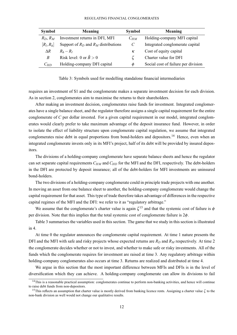| <b>Symbol</b> | Meaning                                  | <b>Symbol</b> | <b>Meaning</b>                      |
|---------------|------------------------------------------|---------------|-------------------------------------|
| $R_D, R_M$    | Investment returns in DFI, MFI           | $C_{HM}$      | Holding-company MFI capital         |
| $[R_l, R_h]$  | Support of $R_D$ and $R_M$ distributions | $\mathcal{C}$ | Integrated conglomerate capital     |
| $\Delta R$    | $R_h - R_l$                              | κ             | Cost of equity capital              |
| B             | Risk level: 0 or $\bar{B} > 0$           |               | Charter value for DFI               |
| $C_{HD}$      | Holding-company DFI capital              | $\phi$        | Social cost of failure per division |

Table 3: Symbols used for modelling standalone financial intermediaries

requires an investment of \$1 and the conglomerate makes a separate investment decision for each division. As in section 2, conglomerates aim to maximise the returns to their shareholders.

After making an investment decision, conglomerates raise funds for investment. Integrated conglomerates have a single balance sheet, and the regulator therefore assigns a single capital requirement for the entire conglomerate of C per dollar invested. For a given capital requirement in our model, integrated conglomerates would clearly prefer to take maximum advantage of the deposit insurance fund. However, in order to isolate the effect of liability structure upon conglomerate capital regulation, we assume that integrated conglomerates raise debt in equal proportions from bond-holders and depositors.<sup>14</sup> Hence, even when an integrated conglomerate invests only in its MFI's project, half of its debt will be provided by insured depositors.

The divisions of a holding-company conglomerate have separate balance sheets and hence the regulator can set separate capital requirements  $C_{HM}$  and  $C_{HD}$  for the MFI and the DFI, respectively. The debt-holders in the DFI are protected by deposit insurance; all of the debt-holders for MFI investments are uninsured bond-holders.

The two divisions of a holding-company conglomerate could in principle trade projects with one another. In moving an asset from one balance sheet to another, the holding-company conglomerate would change the capital requirement for that asset. This type of trade therefore takes advantage of differences in the respective capital regimes of the MFI and the DFI: we refer to it as "regulatory arbitrage."

We assume that the conglomerate's charter value is again  $\zeta^{15}$  and that the systemic cost of failure is  $\phi$ per division. Note that this implies that the total systemic cost of conglomerate failure is  $2\phi$ .

Table 3 summarises the variables used in this section. The game that we study in this section is illustrated in  $4$ .

At time 0 the regulator announces the conglomerate capital requirement. At time 1 nature presents the DFI and the MFI with safe and risky projects whose expected returns are  $R_D$  and  $R_M$  respectively. At time 2 the conglomerate decides whether or not to invest, and whether to make safe or risky investments. All of the funds which the conglomerate requires for investment are raised at time 3. Any regulatory arbitrage within holding-company conglomerates also occurs at time 3. Returns are realized and distributed at time 4.

We argue in this section that the most important difference between MFIs and DFIs is in the level of diversification which they can achieve. A holding-company conglomerate can allow its divisions to fail

<sup>&</sup>lt;sup>14</sup>This is a reasonable practical assumption: conglomerates continue to perform non-banking activities, and hence will continue to raise debt funds from non-depositors.

<sup>&</sup>lt;sup>15</sup>This reflects an assumption that charter value is mostly derived from banking licence rents. Assigning a charter value  $\zeta$  to the non-bank division as well would not change our qualitative results.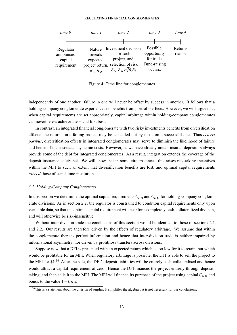

Figure 4: Time line for conglomerates

independently of one another: failure in one will never be offset by success in another. It follows that a holding-company conglomerate experiences no benefits from portfolio effects. However, we will argue that, when capital requirements are set appropriately, capital arbitrage within holding-company conglomerates can nevertheless achieve the social first best.

In contrast, an integrated financial conglomerate with two risky investments benefits from diversification effects: the returns on a failing project may be cancelled out by those on a successful one. Thus *ceteris* paribus, diversification effects in integrated conglomerates may serve to diminish the likelihood of failure and hence of the associated systemic costs. However, as we have already noted, insured depositors always provide some of the debt for integrated conglomerates. As a result, integration extends the coverage of the deposit insurance safety net. We will show that in some circumstances, this raises risk-taking incentives within the MFI to such an extent that diversification benefits are lost, and optimal capital requirements exceed those of standalone institutions.

#### 3.1. Holding-Company Conglomerates

In this section we determine the optimal capital requirements  $C_{HD}^*$  and  $C_{HM}^*$  for holding-company conglomerate divisions. As in section 2.2, the regulator is constrained to condition capital requirements only upon verifiable data, so that the optimal capital requirement will be 0 for a completely cash-collateralized division, and will otherwise be risk-insensitive.

Without inter-division trade the conclusions of this section would be identical to those of sections 2.1 and 2.2. Our results are therefore driven by the effects of regulatory arbitrage. We assume that within the conglomerate there is perfect information and hence that inter-division trade is neither impaired by informational asymmetry, nor driven by profit/loss transfers across divisions.

Suppose now that a DFI is presented with an expected return which is too low for it to retain, but which would be profitable for an MFI. When regulatory arbitrage is possible, the DFI is able to sell the project to the MFI for \$1.<sup>16</sup> After the sale, the DFI's deposit liabilities will be entirely cash-collateralised and hence would attract a capital requirement of zero. Hence the DFI finances the project entirely through deposittaking, and then sells it to the MFI. The MFI will finance its purchase of the project using capital  $C_{HM}$  and bonds to the value  $1 - C_{HM}$ .

 $16$ This is a statement about the division of surplus. It simplifies the algebra but is not necessary for our conclusions.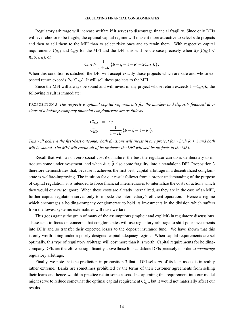Regulatory arbitrage will increase welfare if it serves to discourage financial fragility. Since only DFIs will ever choose to be fragile, the optimal capital regime will make it more attractive to select safe projects and then to sell them to the MFI than to select risky ones and to retain them. With respective capital requirements  $C_{HM}$  and  $C_{HD}$  for the MFI and the DFI, this will be the case precisely when  $\pi_F(C_{HD})$  <  $\pi_S(C_{HM})$ , or

$$
C_{HD} \geq \frac{1}{1+2\kappa} \left\{ \bar{B} - \zeta + 1 - R_l + 2C_{HM}\kappa \right\}.
$$

When this condition is satisfied, the DFI will accept exactly those projects which are safe and whose expected return exceeds  $R_S(C_{HM})$ . It will sell these projects to the MFI.

Since the MFI will always be sound and will invest in any project whose return exceeds  $1 + C_{HM} \kappa$ , the following result is immediate:

PROPOSITION 3 The respective optimal capital requirements for the market- and deposit-financed divisions of a holding-company financial conglomerate are as follows:

$$
C_{HM}^{*} = 0;
$$
  

$$
C_{HD}^{*} = \frac{1}{1+2\kappa} \{\bar{B} - \zeta + 1 - R_{l}\}.
$$

This will achieve the first-best outcome: both divisions will invest in any project for which  $R \ge 1$  and both will be sound. The MFI will retain all of its projects; the DFI will sell its projects to the MFI.

Recall that with a non-zero social cost  $\phi$  of failure, the best the regulator can do is deliberately to introduce some underinvestment, and when  $\phi < \bar{\phi}$  also some fragility, into a standalone DFI. Proposition 3 therefore demonstrates that, because it achieves the first best, capital arbitrage in a decentralized conglomerate is welfare-improving. The intuition for our result follows from a proper understanding of the purpose of capital regulation: it is intended to force financial intermediaries to internalize the costs of actions which they would otherwise ignore. When these costs are already internalized, as they are in the case of an MFI, further capital regulation serves only to impede the intermediary's efficient operation. Hence a regime which encourages a holding-company conglomerate to hold its investments in the division which suffers from the lowest systemic externalities will raise welfare.

This goes against the grain of many of the assumptions (implicit and explicit) in regulatory discussions. These tend to focus on concerns that conglomerates will use regulatory arbitrage to shift poor investments into DFIs and so transfer their expected losses to the deposit insurance fund. We have shown that this is only worth doing under a poorly-designed capital adequacy regime. When capital requirements are set optimally, this type of regulatory arbitrage will cost more than it is worth. Capital requirements for holdingcompany DFIs are therefore set significantly above those for standalone DFIs precisely in order to *encourage* regulatory arbitrage.

Finally, we note that the prediction in proposition 3 that a DFI sells *all* of its loan assets is in reality rather extreme. Banks are sometimes prohibited by the terms of their customer agreements from selling their loans and hence would in practice retain some assets. Incorporating this requirement into our model might serve to reduce somewhat the optimal capital requirement  $C_{HD}^*$ , but it would not materially affect our results.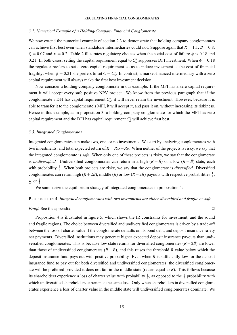#### 3.2. Numerical Example of a Holding-Company Financial Conglomerate

We now extend the numerical example of section 2.3 to demonstrate that holding company conglomerates can achieve first best even when standalone intermediaries could not. Suppose again that  $R = 1.1$ ,  $\bar{B} = 0.8$ ,  $\zeta = 0.07$  and  $\kappa = 0.2$ . Table 2 illustrates regulatory choices when the social cost of failure  $\phi$  is 0.18 and 0.21. In both cases, setting the capital requirement equal to  $C_s^*$  suppresses DFI investment. When  $\phi = 0.18$ the regulator prefers to set a zero capital requirement so as to induce investment at the cost of financial fragility; when  $\phi = 0.21$  she prefers to set  $C = C_s^*$ . In contrast, a market-financed intermediary with a zero capital requirement will always make the first best investment decision.

Now consider a holding-company conglomerate in our example. If the MFI has a zero capital requirement it will accept every safe positive NPV project. We know from the previous paragraph that if the conglomerate's DFI has capital requirement  $C_S^*$ , it will never retain the investment. However, because it is able to transfer it to the conglomerate's MFI, it will accept it, and pass it on, without increasing its riskiness. Hence in this example, as in proposition 3, a holding-company conglomerate for which the MFI has zero capital requirement and the DFI has capital requirement  $C_S^*$  will achieve first best.

#### 3.3. Integrated Conglomerates

Integrated conglomerates can make two, one, or no investments. We start by analyzing conglomerates with two investments, and total expected return of  $R = R_M + R_D$ . When neither of the projects is risky, we say that the integrated conglomerate is safe. When only one of these projects is risky, we say that the conglomerate is *undiversified*. Undiversified conglomerates can return in a high  $(R + \bar{B})$  or a low  $(R - \bar{B})$  state, each with probability  $\frac{1}{2}$ . When both projects are risky, we say that the conglomerate is *diversified*. Diversified conglomerates can return high  $(R + 2\bar{B})$ , middle (R) or low  $(R - 2\bar{B})$  payouts with respective probabilities  $\frac{1}{4}$ ,  $\frac{1}{2}$ , or  $\frac{1}{4}$ .

We summarize the equilibrium strategy of integrated conglomerates in proposition 4:

#### PROPOSITION 4 Integrated conglomerates with two investments are either diversified and fragile or safe.

 $\Box$ 

#### *Proof.* See the appendix.

Proposition 4 is illustrated in figure 5, which shows the IR constraints for investment, and the sound and fragile regions. The choice between diversified and undiversified conglomerates is driven by a trade-off between the loss of charter value if the conglomerate defaults on its bond debt, and deposit insurance safety net payments. Diversified institutions may generate higher expected deposit insurance payouts than undiversified conglomerates. This is because low state returns for diversified conglomerates  $(R - 2B)$  are lower than those of undiversified conglomerates  $(R - \bar{B})$ , and this raises the threshold R value below which the deposit insurance fund pays out with positive probability. Even when  $R$  is sufficiently low for the deposit insurance fund to pay out for both diversified and undiversified conglomerates, the diversified conglomerate will be preferred provided it does not fail in the middle state (return equal to  $R$ ). This follows because its shareholders experience a loss of charter value with probability  $\frac{1}{4}$ , as opposed to the  $\frac{1}{2}$  probability with which undiversified shareholders experience the same loss. Only when shareholders in diversified conglomerates experience a loss of charter value in the middle state will undiversified conglomerates dominate. We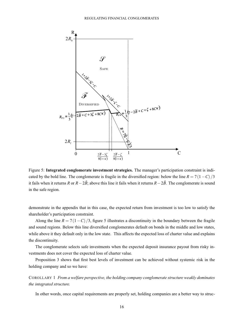

Figure 5: Integrated conglomerate investment strategies. The manager's participation constraint is indicated by the bold line. The conglomerate is fragile in the diversified region: below the line  $R = 7(1 - C)/3$ it fails when it returns R or  $R - 2\overline{B}$ ; above this line it fails when it returns  $R - 2\overline{B}$ . The conglomerate is sound in the safe region.

demonstrate in the appendix that in this case, the expected return from investment is too low to satisfy the shareholder's participation constraint.

Along the line  $R = 7(1 - C)/3$ , figure 5 illustrates a discontinuity in the boundary between the fragile and sound regions. Below this line diversified conglomerates default on bonds in the middle and low states, while above it they default only in the low state. This affects the expected loss of charter value and explains the discontinuity.

The conglomerate selects safe investments when the expected deposit insurance payout from risky investments does not cover the expected loss of charter value.

Proposition 3 shows that first best levels of investment can be achieved without systemic risk in the holding company and so we have:

COROLLARY 1 From a welfare perspective, the holding company conglomerate structure weakly dominates the integrated structure.

In other words, once capital requirements are properly set, holding companies are a better way to struc-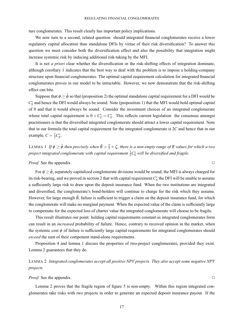ture conglomerates. This result clearly has important policy implications.

We now turn to a second, related question: should integrated financial conglomerates receive a lower regulatory capital allocation than standalone DFIs by virtue of their risk diversification? To answer this question we must consider both the diversification effect and also the possibility that integration might increase systemic risk by inducing additional risk-taking by the MFI.

It is not *a priori* clear whether the diversification or the risk-shifting effects of integration dominate, although corollary 1 indicates that the best way to deal with the problem is to impose a holding-company structure upon financial conglomerates. The optimal capital requirement calculation for integrated financial conglomerates proves in our model to be intractable. However, we now demonstrate that the risk-shifting effect can bite.

Suppose that  $\phi \geq \bar{\phi}$  so that (proposition 2) the optimal standalone capital requirement for a DFI would be  $C_{\mathcal{S}}^*$  and hence the DFI would always be sound. Note (proposition 1) that the MFI would hold optimal capital of 0 and that it would always be sound. Consider the investment choices of an integrated conglomerate whose total capital requirement is  $0 + C_S^* = C_S^*$ . This reflects current legislation: the consensus amongst practitioners is that the diversified integrated conglomerate should attract a lower capital requirement. Note that in our formula the total capital requirement for the integrated conglomerate is  $2C$  and hence that in our example,  $C = \frac{1}{2}C_S^*$ .

LEMMA 1 If  $\phi \geq \bar{\phi}$  then precisely when  $\bar{B} > \frac{2}{3} + \zeta$ , there is a non-empty range of R values for which a two project integrated conglomerate with capital requirement  $\frac{1}{2}C_S^*$  will be diversified and fragile.

#### Proof. See the appendix.

For  $\phi \geq \bar{\phi}$ , separately capitalized conglomerate divisions would be sound; the MFI is always charged for its risk-bearing, and we proved in section 2 that with capital requirement  $C_S^*$  the DFI will be unable to assume a sufficiently large risk to draw upon the deposit insurance fund. When the two institutions are integrated and diversified, the conglomerate's bond-holders will continue to charge for the risk which they assume. However, for large enough  $\bar{B}$ , failure is sufficient to trigger a claim on the deposit insurance fund, for which the conglomerate will make no marginal payment. When the expected value of the claim is sufficiently large to compensate for the expected loss of charter value the integrated conglomerate will choose to be fragile.

This result illustrates our point: holding capital requirements constant as integrated conglomerates form can result in an *increased* probability of failure. Hence, contrary to received opinion in the market, when the systemic cost  $\phi$  of failure is sufficiently large capital requirements for integrated conglomerates should exceed the sum of their component stand-alone requirements.

Proposition 4 and lemma 1 discuss the properties of two-project conglomerates, provided they exist. Lemma 2 guarantees that they do.

## LEMMA 2 Integrated conglomerates accept all positive NPV projects. They also accept some negative NPV projects.

#### *Proof.* See the appendix.

Lemma 2 proves that the fragile region of figure 5 is non-empty. Within this region integrated conglomerates take risks with two projects in order to generate an expected deposit insurance payout. If the

 $\Box$ 

 $\Box$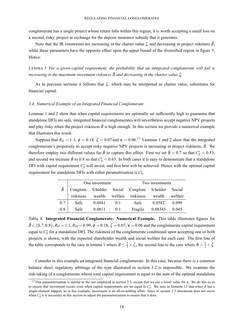conglomerate has a single project whose return falls within this region, it is worth accepting a small loss on a second, risky, project in exchange for the deposit insurance subsidy that it generates.

Note that the IR constraints are increasing in the charter value  $\zeta$  and decreasing in project riskiness  $\bar{B}$ , while these parameters have the opposite effect upon the upper bound of the diversified region in figure 5. Hence:

LEMMA 3 For a given capital requirement, the probability that an integrated conglomerate will fail is increasing in the maximum investment riskiness  $\bar{B}$  and decreasing in the charter value  $\zeta$ .

As in previous sections it follows that  $\zeta$ , which may be interpreted as charter value, substitutes for financial capital.

#### 3.4. Numerical Example of an Integrated Financial Conglomerate

Lemmas 1 and 2 show that when capital requirements are optimally set sufficiently high to guarantee that standalone DFIs are safe, integrated financial conglomerates will nevertheless accept negative NPV projects and play risky when the project riskiness  $\bar{B}$  is high enough. In this section we provide a numerical example that illustrates this result.

Suppose that  $R_D = 1.1$ ,  $\phi = 0.18$ ,  $\zeta = 0.07$  and  $\kappa = 0.06$ .<sup>17</sup> Lemmas 1 and 2 show that the integrated conglomerate's propensity to accept risky negative NPV projects is increasing in project riskiness,  $\overline{B}$ . We therefore employ two different values for  $\bar{B}$  to capture this effect. First we set  $\bar{B} = 0.7$  so that  $C_s^* = 0.53$ , and second we increase  $\bar{B}$  to 0.8 so that  $C_s^* = 0.63$ . In both cases it is easy to demonstrate that a standalone DFI with capital requirement  $C_s^*$  will invest, and first best will be achieved. Hence with the optimal capital requirement for standalone DFIs with either parametrization is  $C_s^*$ .

|     | One investment |        | Two investments |                                                   |         |         |
|-----|----------------|--------|-----------------|---------------------------------------------------|---------|---------|
|     |                |        |                 | Conglom. S/holder Social Conglom. S/holder Social |         |         |
|     | riskiness      | wealth | welfare         | riskiness                                         | wealth  | welfare |
| 0.7 | Safe           | 0.0841 | 0.1             | Safe                                              | 0.0582  | 0.090   |
| 0.8 | Safe           | 0.0811 | 0.1             | Fragile                                           | 0.08345 | 0.045   |

Table 4: Integrated Financial Conglomerate: Numerical Example. This table illustrates figures for  $\bar{B} \in \{0.7, 0.8\}, R_D = 1.1, R_M = 0.99, \phi = 0.18, \zeta = 0.07, \kappa = 0.06$  and the conglomerate capital requirement equal to  $C_S^*$  for a standalone DFI. The riskiness of the conglomerate conditional upon accepting one or both projects is shown, with the expected shareholder wealth and social welfare for each case. The first line of the table corresponds to the case in lemma 1 where  $B \leq \frac{2}{3} + \zeta$ ; the second line to the case where  $B > \frac{2}{3} + \zeta$ .

Consider in this example an integrated financial conglomerate. In this case, because there is a common balance sheet, regulatory arbitrage of the type illustrated in section 3.2 is impossible. We examine the risk-taking of a conglomerate whose total capital requirement is equal to the sum of the optimal standalone

<sup>&</sup>lt;sup>17</sup>This parameterisation is similar to the one employed in section 2.3, except that we use a lower value for  $\kappa$ . We do this so as to ensure that investment occurs even when capital requirements are set equal to  $C_{S}^{*}$ . We note in footnote 13 that when R has a single-element support, as in this example, investment is an all-or-nothing affair. Since in section 2.3 investment does not occur when  $C_{\mathcal{S}}^*$  it is necessary in this section to adjust the parameterization to ensure that it does.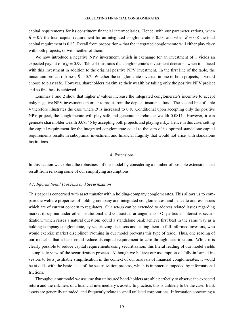capital requirements for its constituent financial intermediaries. Hence, with our parameterizations, when  $\overline{B} = 0.7$  the total capital requirement for an integrated conglomerate is 0.53, and when  $\overline{B} = 0.8$  the total capital requirement is 0.63. Recall from proposition 4 that the integrated conglomerate will either play risky with both projects, or with neither of them.

We now introduce a negative NPV investment, which in exchange for an investment of 1 yields an expected payout of  $R_M = 0.99$ . Table 4 illustrates the conglomerate's investment decisions when it is faced with this investment in addition to the original positive NPV investment. In the first line of the table, the maximum project riskiness  $\bar{B}$  is 0.7. Whether the conglomerate invested in one or both projects, it would choose to play safe. However, shareholders maximize their wealth by taking only the positive NPV project and so first best is achieved.

Lemmas 1 and 2 show that higher  $\bar{B}$  values increase the integrated conglomerate's incentive to accept risky negative NPV investments in order to profit from the deposit insurance fund. The second line of table 4 therefore illustrates the case where  $\bar{B}$  is increased to 0.8. Conditional upon accepting only the positive NPV project, the conglomerate will play safe and generate shareholder wealth 0.0811. However, it can generate shareholder wealth 0.08345 by accepting both projects and playing risky. Hence in this case, setting the capital requirement for the integrated conglomerate equal to the sum of its optimal standalone capital requirements results in suboptimal investment and financial fragility that would not arise with standalone institutions.

#### 4. Extensions

In this section we explore the robustness of our model by considering a number of possible extensions that result from relaxing some of our simplifying assumptions.

#### 4.1. Informational Problems and Securitization

This paper is concerned with asset transfer within holding-company conglomerates. This allows us to compare the welfare properties of holding-company and integrated conglomerates, and hence to address issues which are of current concern to regulators. Our set-up can be extended to address related issues regarding market discipline under other institutional and contractual arrangements. Of particular interest is securitization, which raises a natural question: could a standalone bank achieve first best in the same way as a holding-company conglomerate, by securitizing its assets and selling them to full-informed investors, who would exercise market discipline? Nothing in our model prevents this type of trade. Thus, one reading of our model is that a bank could reduce its capital requirement to zero through securitization. While it is clearly possible to reduce capital requirements using securitization, this literal reading of our model yields a simplistic view of the securitization process. Although we believe our assumption of fully-informed investors to be a justifiable simplification in the context of our analysis of financial conglomerates, it would be at odds with the basic facts of the securitization process, which is in practice impeded by informational frictions.

Throughout our model we assume that uninsured bond-holders are able perfectly to observe the expected return and the riskiness of a financial intermediary's assets. In practice, this is unlikely to be the case. Bank assets are generally untraded, and frequently relate to small unlisted corporations. Information concerning a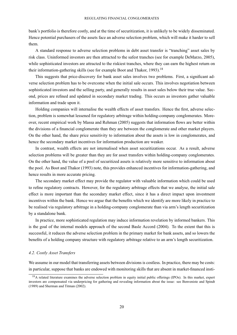bank's portfolio is therefore costly, and at the time of securitization, it is unlikely to be widely disseminated. Hence potential purchasers of the assets face an adverse selection problem, which will make it harder to sell them.

A standard response to adverse selection problems in debt asset transfer is "tranching" asset sales by risk class. Uninformed investors are then attracted to the safest tranches (see for example DeMarzo, 2005), while sophisticated investors are attracted to the riskiest tranches, where they can earn the highest return on their information-gathering skills (see for example Boot and Thakor, 1993).<sup>18</sup>

This suggests that price-discovery for bank asset sales involves two problems. First, a significant adverse selection problem has to be overcome when the initial sale occurs. This involves negotiation between sophisticated investors and the selling party, and generally results in asset sales below their true value. Second, prices are refined and updated in secondary market trading. This occurs as investors gather valuable information and trade upon it.

Holding companies will internalise the wealth effects of asset transfers. Hence the first, adverse selection, problem is somewhat lessened for regulatory arbitrage within holding-company conglomerates. Moreover, recent empirical work by Massa and Rehman (2005) suggests that information flows are better within the divisions of a financial conglomerate than they are between the conglomerate and other market players. On the other hand, the share price sensitivity to information about the assets is low in conglomerates, and hence the secondary market incentives for information production are weaker.

In contrast, wealth effects are not internalised when asset securitizations occur. As a result, adverse selection problems will be greater than they are for asset transfers within holding-company conglomerates. On the other hand, the value of a pool of securitized assets is relatively more sensitive to information about the pool. As Boot and Thakor (1993) note, this provides enhanced incentives for information-gathering, and hence results in more accurate pricing.

The secondary market effect may provide the regulator with valuable information which could be used to refine regulatory contracts. However, for the regulatory arbitrage effects that we analyse, the initial sale effect is more important than the secondary market effect, since it has a direct impact upon investment incentives within the bank. Hence we argue that the benefits which we identify are more likely in practice to be realised via regulatory arbitrage in a holding-company conglomerate than via arm's length securitization by a standalone bank.

In practice, more sophisticated regulation may induce information revelation by informed bankers. This is the goal of the internal models approach of the second Basle Accord (2004). To the extent that this is successful, it reduces the adverse selection problem in the primary market for bank assets, and so lowers the benefits of a holding company structure with regulatory arbitrage relative to an arm's length securitization.

#### 4.2. Costly Asset Transfers

We assume in our model that transferring assets between divisions is costless. In practice, there may be costs: in particular, suppose that banks are endowed with monitoring skills that are absent in market-financed insti-

<sup>&</sup>lt;sup>18</sup>A related literature examines the adverse selection problem in equity initial public offerings (IPOs). In this market, expert investors are compensated via underpricing for gathering and revealing information about the issue: see Benveniste and Spindt (1989) and Sherman and Titman (2002).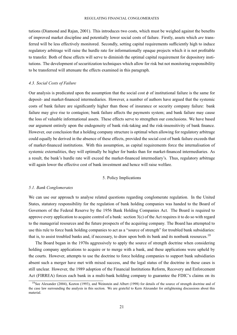tutions (Diamond and Rajan, 2001). This introduces two costs, which must be weighed against the benefits of improved market discipline and potentially lower social costs of failure. Firstly, assets which are transferred will be less effectively monitored. Secondly, setting capital requirements sufficiently high to induce regulatory arbitrage will raise the hurdle rate for informationally opaque projects which it is not profitable to transfer. Both of these effects will serve to diminish the optimal capital requirement for depository institutions. The development of securitization techniques which allow for risk but not monitoring responsibility to be transferred will attenuate the effects examined in this paragraph.

#### 4.3. Social Costs of Failure

Our analysis is predicated upon the assumption that the social cost  $\phi$  of institutional failure is the same for deposit- and market-financed intermediaries. However, a number of authors have argued that the systemic costs of bank failure are significantly higher than those of insurance or security company failure: bank failure may give rise to contagion; bank failure affects the payments system; and bank failure may cause the loss of valuable informational assets. These effects serve to strengthen our conclusions. We have based our argument entirely upon the endogeneity of bank risk-taking and the risk-insensitivity of bank finance. However, our conclusion that a holding company structure is optimal when allowing for regulatory arbitrage could equally be derived in the absence of these effects, provided the social cost of bank failure exceeds that of market-financed institutions. With this assumption, as capital requirements force the internalisation of systemic externalities, they will optimally be higher for banks than for market-financed intermediaries. As a result, the bank's hurdle rate will exceed the market-financed intermediary's. Thus, regulatory arbitrage will again lower the effective cost of bank investment and hence will raise welfare.

#### 5. Policy Implications

#### 5.1. Bank Conglomerates

We can use our approach to analyse related questions regarding conglomerate regulation. In the United States, statutory responsibility for the regulation of bank holding companies was handed to the Board of Governors of the Federal Reserve by the 1956 Bank Holding Companies Act. The Board is required to approve every application to acquire control of a bank: section  $3(c)$  of the Act requires it to do so with regard to the managerial resources and the future prospects of the acquiring company. The Board has attempted to use this rule to force bank holding companies to act as a "source of strength" for troubled bank subsidiaries: that is, to assist troubled banks and, if necessary, to draw upon both its bank and its nonbank resources.<sup>19</sup>

The Board began in the 1970s aggressively to apply the source of strength doctrine when considering holding company applications to acquire or to merge with a bank, and these applications were upheld by the courts. However, attempts to use the doctrine to force holding companies to support bank subsidiaries absent such a merger have met with mixed success, and the legal status of the doctrine in these cases is still unclear. However, the 1989 adoption of the Financial Institutions Reform, Recovery and Enforcement Act (FIRREA) forces each bank in a multi-bank holding company to guarantee the FDIC's claims on its

<sup>&</sup>lt;sup>19</sup>See Alexander (2004), Keeton (1993), and Weinstein and Albert (1998) for details of the source of strength doctrine and of the case law surrounding the analysis in this section. We are grateful to Kern Alexander for enlightening discussions about this material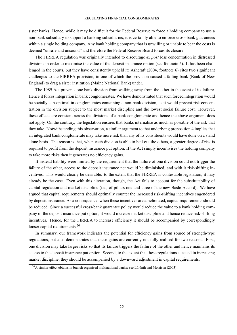sister banks. Hence, while it may be difficult for the Federal Reserve to force a holding company to use a non-bank subsidiary to support a banking subsidiaries, it is certainly able to enforce cross-bank guarantees within a single holding company. Any bank holding company that is unwilling or unable to bear the costs is deemed "unsafe and unsound" and therefore the Federal Reserve Board forces its closure.

The FIRREA regulation was originally intended to discourage ex post loss concentration in distressed divisions in order to maximise the value of the deposit insurance option (see footnote 5). It has been challenged in the courts, but they have consistently upheld it: Ashcraft (2004, footnote 6) cites two significant challenges to the FIRREA provision, in one of which the provision caused a failing bank (Bank of New England) to drag a sister institution (Maine National Bank) under.

The 1989 Act prevents one bank division from walking away from the other in the event of its failure. Hence it forces integration in bank conglomerates. We have demonstrated that such forced integration would be socially sub-optimal in conglomerates containing a non-bank division, as it would prevent risk concentration in the division subject to the most market discipline and the lowest social failure cost. However, these effects are constant across the divisions of a bank conglomerate and hence the above argument does not apply. On the contrary, the legislation ensures that banks internalise as much as possible of the risk that they take. Notwithstanding this observation, a similar argument to that underlying proposition 4 implies that an integrated bank conglomerate may take more risk than any of its constituents would have done on a stand alone basis. The reason is that, when each division is able to bail out the others, a greater degree of risk is required to profit from the deposit insurance put option. If the Act simply incentivises the holding company to take more risks then it generates no efficiency gains.

If instead liability were limited by the requirement that the failure of one division could not trigger the failure of the other, access to the deposit insurance net would be diminished, and with it risk-shifting incentives. This would clearly be desirable: to the extent that the FIRREA is contestable legislation, it may already be the case. Even with this alteration, though, the Act fails to account for the substitutability of capital regulation and market discipline (i.e., of pillars one and three of the new Basle Accord). We have argued that capital requirements should optimally counter the increased risk-shifting incentives engendered by deposit insurance. As a consequence, when these incentives are ameliorated, capital requirements should be reduced. Since a successful cross-bank guarantee policy would reduce the value to a bank holding company of the deposit insurance put option, it would increase market discipline and hence reduce risk-shifting incentives. Hence, for the FIRREA to increase efficiency it should be accompanied by correspondingly looser capital requirements.<sup>20</sup>

In summary, our framework indicates the potential for efficiency gains from source of strength-type regulations, but also demonstrates that these gains are currently not fully realised for two reasons. First, one division may take larger risks so that its failure triggers the failure of the other and hence maintains its access to the deposit insurance put option. Second, to the extent that these regulations succeed in increasing market discipline, they should be accompanied by a downward adjustment in capital requirements.

 $^{20}$ A similar effect obtains in branch-organised multinational banks: see Lóránth and Morrison (2003).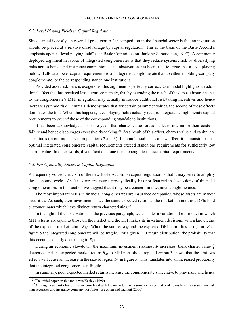#### 5.2. Level Playing Fields in Capital Regulation

Since capital is costly, an essential precursor to fair competition in the financial sector is that no institution should be placed at a relative disadvantage by capital regulation. This is the basis of the Basle Accord's emphasis upon a "level playing field" (see Basle Committee on Banking Supervision, 1997). A commonly deployed argument in favour of integrated conglomerates is that they reduce systemic risk by diversifying risks across banks and insurance companies. This observation has been used to argue that a level playing field will allocate lower capital requirements to an integrated conglomerate than to either a holding-company conglomerate, or the corresponding standalone institutions.

Provided asset riskiness is exogenous, this argument is perfectly correct. Our model highlights an additional effect that has received less attention: namely, that by extending the reach of the deposit insurance net to the conglomerate's MFI, integration may actually introduce additional risk-taking incentives and hence increase systemic risk. Lemma 1 demonstrates that for certain parameter values, the second of these effects dominates the first. When this happens, level playing fields actually require integrated conglomerate capital requirements to *exceed* those of the corresponding standalone institutions.

It has been acknowledged for some years that charter value forces banks to internalise their costs of failure and hence discourages excessive risk-taking.<sup>21</sup> As a result of this effect, charter value and capital are substitutes (in our model, see propositions 2 and 3). Lemma 1 establishes a new effect: it demonstrates that optimal integrated conglomerate capital requirements exceed standalone requirements for sufficiently low charter value. In other words, diversification alone is not enough to reduce capital requirements.

#### 5.3. Pro-Cyclicality Effects in Capital Regulation

A frequently voiced criticism of the new Basle Accord on capital regulation is that it may serve to amplify the economic cycle. As far as we are aware, pro-cyclicality has not featured in discussions of financial conglomeration. In this section we suggest that it may be a concern in integrated conglomerates.

The most important MFIs in financial conglomerates are insurance companies, whose assets are market securities. As such, their investments have the same expected return as the market. In contrast, DFIs hold customer loans which have distinct return characteristics.<sup>22</sup>

In the light of the observations in the previous paragraph, we consider a variation of our model in which MFI returns are equal to those on the market and the DFI makes its investment decisions with a knowledge of the expected market return  $R_M$ . When the sum of  $R_M$  and the expected DFI return lies in region  $\mathcal F$  of figure 5 the integrated conglomerate will be fragile. For a given DFI return distribution, the probability that this occurs is clearly decreasing in  $R_M$ .

During an economic slowdown, the maximum investment riskiness  $\bar{B}$  increases, bank charter value  $\zeta$ decreases and the expected market return  $R_M$  to MFI portfolios drops. Lemma 3 shows that the first two effects will cause an increase in the size of region  $\mathscr F$  in figure 5. This translates into an increased probability that the integrated conglomerate is fragile.

In summary, poor expected market returns increase the conglomerate's incentive to play risky and hence

<sup>&</sup>lt;sup>21</sup>The initial paper on this topic was Keeley (1990).

 $^{22}$ Although loan portfolio returns are correlated with the market, there is some evidence that bank loans have less systematic risk than securities and insurance company portfolios: see Allen and Jagtiani (2000).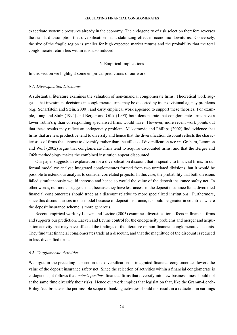exacerbate systemic pressures already in the economy. The endogeneity of risk selection therefore reverses the standard assumption that diversification has a stabilizing effect in economic downturns. Conversely, the size of the fragile region is smaller for high expected market returns and the probability that the total conglomerate return lies within it is also reduced.

#### 6. Empirical Implications

In this section we highlight some empirical predictions of our work.

#### 6.1. Diversification Discounts

A substantial literature examines the valuation of non-financial conglomerate firms. Theoretical work suggests that investment decisions in conglomerate firms may be distorted by inter-divisional agency problems (e.g. Scharfstein and Stein, 2000), and early empirical work appeared to support these theories. For example, Lang and Stulz (1994) and Berger and Ofek (1995) both demonstrate that conglomerate firms have a lower Tobin's q than corresponding specialised firms would have. However, more recent work points out that these results may reflect an endogeneity problem. Maksimovic and Phillips (2002) find evidence that firms that are less productive tend to diversify and hence that the diversification discount reflects the characteristics of firms that choose to diversify, rather than the effects of diversification per se. Graham, Lemmon and Wolf (2002) argue that conglomerate firms tend to acquire discounted firms, and that the Berger and Ofek methodology makes the combined institution appear discounted.

Our paper suggests an explanation for a diversification discount that is specific to financial firms. In our formal model we analyse integrated conglomerates formed from two unrelated divisions, but it would be possible to extend our analysis to consider correlated projects. In this case, the probability that both divisions failed simultaneously would increase and hence so would the value of the deposit insurance safety net. In other words, our model suggests that, because they have less access to the deposit insurance fund, diversified financial conglomerates should trade at a discount relative to more specialized institutions. Furthermore, since this discount arises in our model because of deposit insurance, it should be greater in countries where the deposit insurance scheme is more generous.

Recent empirical work by Laeven and Levine (2005) examines diversification effects in financial firms and supports our prediction. Laeven and Levine control for the endogeneity problems and merger and acquisition activity that may have affected the findings of the literature on non-financial conglomerate discounts. They find that financial conglomerates trade at a discount, and that the magnitude of the discount is reduced in less-diversified firms.

#### 6.2. Conglomerate Activities

We argue in the preceding subsection that diversification in integrated financial conglomerates lowers the value of the deposit insurance safety net. Since the selection of activities within a financial conglomerate is endogenous, it follows that, *ceteris paribus*, financial firms that diversify into new business lines should not at the same time diversify their risks. Hence our work implies that legislation that, like the Gramm-Leach-Bliley Act, broadens the permissible scope of banking activities should not result in a reduction in earnings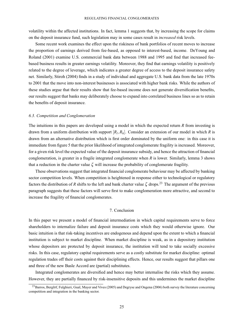volatility within the affected institutions. In fact, lemma 1 suggests that, by increasing the scope for claims on the deposit insurance fund, such legislation may in some cases result in *increased* risk levels.

Some recent work examines the effect upon the riskiness of bank portfolios of recent moves to increase the proportion of earnings derived from fee-based, as opposed to interest-based, income. DeYoung and Roland (2001) examine U.S. commercial bank data between 1988 and 1995 and find that increased feebased business results in greater earnings volatility. Moreover, they find that earnings volatility is positively related to the degree of leverage, which indicates a greater degree of access to the deposit insurance safety net. Similarly, Stiroh (2004) finds in a study of individual and aggregate U.S. bank data from the late 1970s to 2001 that the move into non-interest businesses is associated with higher bank risks. While the authors of these studies argue that their results show that fee-based income does not generate diversification benefits, our results suggest that banks may deliberately choose to expand into correlated business lines so as to retain the benefits of deposit insurance.

#### 6.3. Competition and Conglomeration

The intuitions in this papers are developed using a model in which the expected return  $R$  from investing is drawn from a uniform distribution with support  $[R_l, R_h]$ . Consider an extension of our model in which R is drawn from an alternative distribution which is first order dominated by the uniform one: in this case it is immediate from figure 5 that the prior likelihood of integrated conglomerate fragility is increased. Moreover, for a given risk level the expected value of the deposit insurance subsidy, and hence the attraction of financial conglomeration, is greater in a fragile integrated conglomerate when  $R$  is lower. Similarly, lemma 3 shows that a reduction in the charter value  $\zeta$  will increase the probability of conglomerate fragility.

These observations suggest that integrated financial conglomerate behaviour may be affected by banking sector competition levels. When competition is heightened in response either to technological or regulatory factors the distribution of R shifts to the left and bank charter value  $\zeta$  drops.<sup>23</sup> The argument of the previous paragraph suggests that these factors will serve first to make conglomeration more attractive, and second to increase the fragility of financial conglomerates.

#### 7. Conclusion

In this paper we present a model of financial intermediation in which capital requirements serve to force shareholders to internalize failure and deposit insurance costs which they would otherwise ignore. Our basic intuition is that risk-taking incentives are endogenous and depend upon the extent to which a financial institution is subject to market discipline. When market discipline is weak, as in a depository institution whose depositors are protected by deposit insurance, the institution will tend to take socially excessive risks. In this case, regulatory capital requirements serve as a costly substitute for market discipline: optimal regulation trades off their costs against their disciplining effects. Hence, our results suggest that pillars one and three of the new Basle Accord are (partial) substitutes.

Integrated conglomerates are diversified and hence may better internalise the risks which they assume. However, they are partially financed by risk-insensitive deposits and this undermines the market discipline

<sup>&</sup>lt;sup>23</sup>Barros, Berglöf, Fulghieri, Gual, Mayer and Vives (2005) and Degryse and Ongena (2006) both survey the literature concerning competition and integration in the banking sector.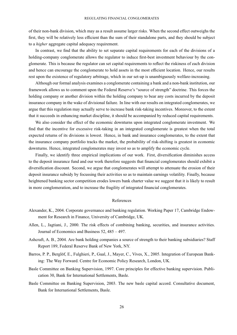of their non-bank division, which may as a result assume larger risks. When the second effect outweighs the first, they will be relatively less efficient than the sum of their standalone parts, and they should be subject to a *higher* aggregate capital adequacy requirement.

In contrast, we find that the ability to set separate capital requirements for each of the divisions of a holding-company conglomerate allows the regulator to induce first-best investment behaviour by the conglomerate. This is because the regulator can set capital requirements to reflect the riskiness of each division and hence can encourage the conglomerate to hold assets in the most efficient location. Hence, our results rest upon the existence of regulatory arbitrage, which in our set-up is unambiguously welfare-increasing.

Although our formal analysis examines a conglomerate containing a bank and a non-bank institution, our framework allows us to comment upon the Federal Reserve's "source of strength" doctrine. This forces the holding company or another division within the holding company to bear any costs incurred by the deposit insurance company in the wake of divisional failure. In line with our results on integrated conglomerates, we argue that this regulation may actually serve to increase bank risk-taking incentives. Moreover, to the extent that it succeeds in enhancing market discipline, it should be accompanied by reduced capital requirements.

We also consider the effect of the economic downturns upon integrated conglomerate investment. We find that the incentive for excessive risk-taking in an integrated conglomerate is greatest when the total expected returns of its divisions is lowest. Hence, in bank and insurance conglomerates, to the extent that the insurance company portfolio tracks the market, the probability of risk-shifting is greatest in economic downturns. Hence, integrated conglomerates may invest so as to amplify the economic cycle.

Finally, we identify three empirical implications of our work. First, diversification diminishes access to the deposit insurance fund and our work therefore suggests that financial conglomerates should exhibit a diversification discount. Second, we argue that conglomerates will attempt to attenuate the erosion of their deposit insurance subsidy by focussing their activities so as to maintain earnings volatility. Finally, because heightened banking sector competition erodes lowers bank charter value we suggest that it is likely to result in more conglomeration, and to increase the fragility of integrated financial conglomerates.

#### References

- Alexander, K., 2004. Corporate governance and banking regulation. Working Paper 17, Cambridge Endowment for Research in Finance, University of Cambridge, UK.
- Allen, L., Jagtiani, J., 2000. The risk effects of combining banking, securities, and insurance activities. Journal of Economics and Business 52, 485 – 497.
- Ashcraft, A. B., 2004. Are bank holding companies a source of strength to their banking subsidiaries? Staff Report 189, Federal Reserve Bank of New York, NY.
- Barros, P. P., Berglöf, E., Fulghieri, P., Gual, J., Mayer, C., Vives, X., 2005. Integration of European Banking: The Way Forward. Centre for Economic Policy Research, London, UK.
- Basle Committee on Banking Supervision, 1997. Core principles for effective banking supervision. Publication 30, Bank for International Settlements, Basle.
- Basle Committee on Banking Supervision, 2003. The new basle capital accord. Consultative document, Bank for International Settlements, Basle.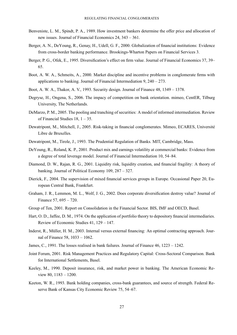- Benveniste, L. M., Spindt, P. A., 1989. How investment bankers determine the offer price and allocation of new issues. Journal of Financial Economics 24, 343 – 361.
- Berger, A. N., DeYoung, R., Genay, H., Udell, G. F., 2000. Globalization of financial institutions: Evidence from cross-border banking performance. Brookings-Wharton Papers on Financial Services 3.
- Berger, P. G., Ofek, E., 1995. Diversification's effect on firm value. Journal of Financial Economics 37, 39– 65.
- Boot, A. W. A., Schmeits, A., 2000. Market discipline and incentive problems in conglomerate firms with applications to banking. Journal of Financial Intermediation 9,  $240 - 273$ .
- Boot, A. W. A., Thakor, A. V., 1993. Security design. Journal of Finance 48, 1349 1378.
- Degryse, H., Ongena, S., 2006. The impacy of competition on bank orientation. mimeo, CentER, Tilburg University, The Netherlands.
- DeMarzo, P. M., 2005. The pooling and tranching of securities: A model of informed intermediation. Review of Financial Studies 18,  $1 - 35$ .
- Dewatripont, M., Mitchell, J., 2005. Risk-taking in financial conglomerates. Mimeo, ECARES, Université Libre de Bruxelles.
- Dewatripont, M., Tirole, J., 1993. The Prudential Regulation of Banks. MIT, Cambridge, Mass.
- De Young, R., Roland, K. P., 2001. Product mix and earnings volatility at commercial banks: Evidence from a degree of total leverage model. Journal of Financial Intermediation 10, 54–84.
- Diamond, D. W., Rajan, R. G., 2001. Liquidity risk, liquidity creation, and financial fragility: A theory of banking. Journal of Political Economy  $109$ ,  $287 - 327$ .
- Dierick, F., 2004. The supervision of mixed financial services groups in Europe. Occasional Paper 20, European Central Bank, Frankfurt.
- Graham, J. R., Lemmon, M. L., Wolf, J. G., 2002. Does corporate diversification destroy value? Journal of Finance 57,  $695 - 720$ .
- Group of Ten, 2001. Report on Consolidation in the Financial Sector. BIS, IMF and OECD, Basel.
- Hart, O. D., Jaffee, D. M., 1974. On the application of portfolio theory to depository financial intermediaries. Review of Economic Studies 41, 129 - 147.
- Inderst, R., Müller, H. M., 2003. Internal versus external financing: An optimal contracting approach. Journal of Finance 58, 1033 - 1062.
- James, C., 1991. The losses realised in bank failures. Journal of Finance 46, 1223 1242.
- Joint Forum, 2001. Risk Management Practices and Regulatory Capital: Cross-Sectoral Comparison. Bank for International Settlements, Basel.
- Keeley, M., 1990. Deposit insurance, risk, and market power in banking. The American Economic Review 80,  $1183 - 1200$ .
- Keeton, W. R., 1993. Bank holding companies, cross-bank guarantees, and source of strength. Federal Reserve Bank of Kansas City Economic Review 75, 54–67.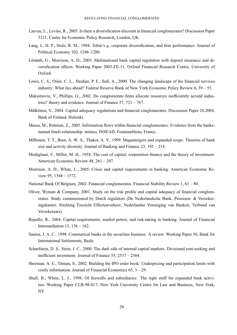- Laeven, L., Levine, R., 2005. Is there a diversification discount in financial conglomerates? Discussion Paper 5121, Centre for Economic Policy Research, London, UK.
- Lang, L. H. P., Stulz, R. M., 1994. Tobin's q, corporate diversification, and firm performance. Journal of Political Economy 102, 1248–1280.
- Lóránth, G., Morrison, A. D., 2003. Multinational bank capital regulation with deposit insurance and diversification effects. Working Paper 2003-FE-11, Oxford Financial Research Centre, University of Oxford.
- Lown, C. S., Osler, C. L., Strahan, P. E., Sufi, A., 2000. The changing landscape of the financial services industry: What lies ahead? Federal Reserve Bank of New York Economic Policy Review 6, 39 – 55.
- Maksimovic, V., Phillips, G., 2002. Do conglomerate firms allocate resources inefficiently acrodd industries? theory and evidence. Journal of Finance  $57$ ,  $721 - 767$ .
- Mälkönen, V., 2004. Capital adequacy regulations and financial conglomerates. Discussion Paper 10.2004, Bank of Finland, Helsinki.
- Massa, M., Rehman, Z., 2005. Information flows within financial conglomerates: Evidence from the banksmutual funds relationship. mimeo, INSEAD, Fontainebleau, France.
- Milbourn, T. T., Boot, A. W. A., Thakor, A. V., 1999. Megamergers and expanded scope: Theories of bank size and activity diversity. Journal of Banking and Finance  $23$ ,  $195 - 214$ .
- Modigliani, F., Miller, M. H., 1958. The cost of capital, corporation finance and the theory of investment. American Economic Review 48, 261 - 297.
- Morrison, A. D., White, L., 2005. Crises and capital requirements in banking. American Economic Review 95,  $1548 - 1572$ .
- National Bank Of Belgium, 2002. Financial conglomerates. Financial Stability Review 1,  $61 80$ .
- Oliver, Wyman & Company, 2001. Study on the risk profile and capital adequacy of financial conglomerates. Study commissioned by Dutch regulators (De Nederlandsche Bank, Pensioen- & Verzekeringskamer, Stichting Toezicht Effectenverkeer, Nederlandse Vereniging van Banken, Verbond van Verzekeraars).
- Repullo, R., 2004. Capital requirements, market power, and risk-taking in banking. Journal of Financial Intermediation 13,  $156 - 182$ .
- Santos, J. A. C., 1998. Commerical banks in the securities business: A review. Working Paper 56, Bank for International Settlements, Basle.
- Scharfstein, D. S., Stein, J. C., 2000. The dark side of internal capital markets: Divisional rent-seeking and inefficient investment. Journal of Finance  $55$ ,  $2537 - 2564$ .
- Sherman, A. E., Titman, S., 2002. Building the IPO order book: Underpricing and participation limits with costly information. Journal of Financial Economics  $65$ ,  $3 - 29$ .
- Shull, B., White, L. J., 1998. Of firewalls and subsidiaries: The right stuff for expanded bank activities. Working Paper CLB-98-017, New York University Center for Law and Business, New York, NY.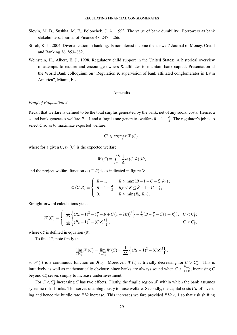- Slovin, M. B., Sushka, M. E., Polonchek, J. A., 1993. The value of bank durability: Borrowers as bank stakeholders. Journal of Finance  $48$ ,  $247 - 266$ .
- Stiroh, K. J., 2004. Diversification in banking: Is noninterest income the answer? Journal of Money, Credit and Banking 36, 853-882.
- Weinstein, H., Albert, E. J., 1998. Regulatory child support in the United States: A historical overview of attempts to require and encourage owners  $\&$  affiliates to maintain bank capital. Presentation at the World Bank colloquium on "Regulation & supervision of bank affiliated conglomerates in Latin America", Miami, FL.

#### Appendix

#### **Proof of Proposition 2**

Recall that welfare is defined to be the total surplus generated by the bank, net of any social costs. Hence, a sound bank generates welfare  $R-1$  and a fragile one generates welfare  $R-1-\frac{\phi}{2}$ . The regulator's job is to select  $C$  so as to maximize expected welfare:

$$
C^* \in \arg\max_{C} W(C),
$$

where for a given C,  $W(C)$  is the expected welfare:

$$
W\left(C\right) \equiv \int_{R_l}^{R_h} \frac{1}{\Delta} \omega\left(C, R\right) dR,
$$

and the project welfare function  $\omega(C, R)$  is as indicated in figure 3:

$$
\omega(C,R) \equiv \begin{cases} R-1, & R > \max(\bar{B}+1-C-\zeta,R_S); \\ R-1-\frac{\phi}{2}, & R_F < R \leq \bar{B}+1-C-\zeta; \\ 0, & R \leq \min(R_S,R_F). \end{cases}
$$

Straightforward calculations yield

$$
W(C) = \begin{cases} \frac{1}{2\Delta} \left\{ (R_h - 1)^2 - (\zeta - \bar{B} + C(1 + 2\kappa))^2 \right\} - \frac{\phi}{\Delta} (\bar{B} - \zeta - C(1 + \kappa)), & C < C_5^*; \\ \frac{1}{2\Delta} \left\{ (R_h - 1)^2 - (C\kappa)^2 \right\}, & C \ge C_5^*, \end{cases}
$$

where  $C_S^*$  is defined in equation (8).

To find  $C^*$ , note firstly that

$$
\lim_{C \uparrow C_S^*} W(C) = \lim_{C \downarrow C_S^*} W(C) = \frac{1}{2\Delta} \left\{ (R_h - 1)^2 - (C\kappa)^2 \right\}
$$

so  $W(.)$  is a continuous function on  $\Re_{\geq 0}$ . Moreover,  $W(.)$  is trivially decreasing for  $C > C_S^*$ . This is intuitively as well as mathematically obvious: since banks are always sound when  $C > \frac{\bar{B}-\zeta}{1+\kappa}$ , increasing C beyond  $C_S^*$  serves simply to increase underinvestment.

For  $C < C_s^*$  increasing C has two effects. Firstly, the fragile region  $\mathscr F$  within which the bank assumes systemic risk shrinks. This serves unambiguously to raise welfare. Secondly, the capital costs  $C\kappa$  of investing and hence the hurdle rate  $FIR$  increase. This increases welfare provided  $FIR < 1$  so that risk shifting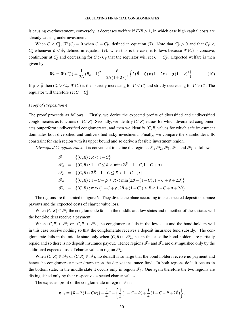is causing overinvestment; conversely, it decreases welfare if  $FIR > 1$ , in which case high capital costs are already causing underinvestment.

When  $C < C_S^*$ ,  $W'(C) = 0$  when  $C = C_F^*$ , defined in equation (7). Note that  $C_F^* > 0$  and that  $C_F^* <$  $C_{\mathcal{S}}^*$  whenever  $\phi < \bar{\phi}$ , defined in equation (9): when this is the case, it follows because  $W(C)$  is concave, continuous at  $C_S^*$  and decreasing for  $C > C_S^*$  that the regulator will set  $C = C_F^*$ . Expected welfare is then given by

$$
W_F \equiv W(C_F^*) = \frac{1}{2\Delta} (R_h - 1)^2 - \frac{\phi}{2\Delta(1 + 2\kappa)^2} \left\{ 2(\bar{B} - \zeta) \kappa (1 + 2\kappa) - \phi (1 + \kappa)^2 \right\}.
$$
 (10)

If  $\phi > \bar{\phi}$  then  $C_F^* > C_S^*$ :  $W(C)$  is then strictly increasing for  $C < C_S^*$  and strictly decreasing for  $C > C_S^*$ . The regulator will therefore set  $C = C_S^*$ .

#### Proof of Proposition 4

The proof proceeds as follows. Firstly, we derive the expected profits of diversified and undiversified conglomerates as functions of  $(C, R)$ . Secondly, we identify  $(C, R)$  values for which diversified conglomerates outperform undiversified conglomerates, and then we identify  $(C, R)$  values for which safe investment dominates both diversified and undiversified risky investment. Finally, we compare the shareholder's IR constraint for each region with its upper bound and so derive a feasible investment region.

Diversified Conglomerates. It is convenient to define the regions  $\mathscr{F}_1$ ,  $\mathscr{F}_2$ ,  $\mathscr{F}_3$ ,  $\mathscr{F}_4$ , and  $\mathscr{F}_5$  as follows:

$$
\mathcal{F}_1 = \{(C, R) : R < 1 - C\}
$$
\n
$$
\mathcal{F}_2 = \{(C, R) : 1 - C \le R < \min(2\bar{B} + 1 - C, 1 - C + \rho)\}
$$
\n
$$
\mathcal{F}_3 = \{(C, R) : 2\bar{B} + 1 - C \le R < 1 - C + \rho\}
$$
\n
$$
\mathcal{F}_4 = \{(C, R) : 1 - C + \rho \le R < \min(2\bar{B} + (1 - C), 1 - C + \rho + 2\bar{B})\}
$$
\n
$$
\mathcal{F}_5 = \{(C, R) : \max(1 - C + \rho, 2\bar{B} + (1 - C)) \le R < 1 - C + \rho + 2\bar{B}\}
$$

The regions are illustrated in figure 6. They divide the plane according to the expected deposit insurance payouts and the expected costs of charter value loss.

When  $(C,R) \in \mathscr{F}_1$  the conglomerate fails in the middle and low states and in neither of these states will the bond-holders receive a payment.

When  $(C,R) \in \mathscr{F}_2$  or  $(C,R) \in \mathscr{F}_4$ , the conglomerate fails in the low state and the bond-holders will in this case receive nothing so that the conglomerate receives a deposit insurance fund subsidy. The conglomerate fails in the middle state only when  $(C, R) \in \mathcal{F}_2$ , but in this case the bond-holders are partially repaid and so there is no deposit insurance payout. Hence regions  $\mathcal{F}_2$  and  $\mathcal{F}_4$  are distinguished only by the additional expected loss of charter value in region  $\mathscr{F}_2$ .

When  $(C,R) \in \mathscr{F}_3$  or  $(C,R) \in \mathscr{F}_5$ , no default is so large that the bond holders receive no payment and hence the conglomerate never draws upon the deposit insurance fund. In both regions default occurs in the bottom state; in the middle state it occurs only in region  $\mathscr{F}_3$ . One again therefore the two regions are distinguished only by their respective expected charter values.

The expected profit of the conglomerate in region  $\mathcal{F}_1$  is

$$
\pi_{F1} \equiv \{R - 2(1 + C\kappa)\} - \frac{3}{4}\zeta + \left\{\frac{1}{2}(1 - C - R) + \frac{1}{4}(1 - C - R + 2\bar{B})\right\}.
$$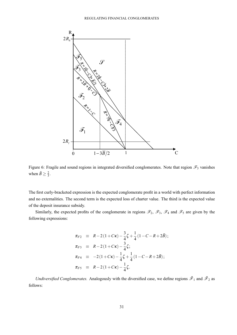

Figure 6: Fragile and sound regions in integrated diversified conglomerates. Note that region  $\mathscr{F}_3$  vanishes when  $\bar{B} \geq \frac{2}{3}$ .

The first curly-bracketed expression is the expected conglomerate profit in a world with perfect information and no externalities. The second term is the expected loss of charter value. The third is the expected value of the deposit insurance subsidy.

Similarly, the expected profits of the conglomerate in regions  $\mathscr{F}_2$ ,  $\mathscr{F}_3$ ,  $\mathscr{F}_4$  and  $\mathscr{F}_5$  are given by the following expressions:

$$
\pi_{F2} \equiv R - 2(1 + C\kappa) - \frac{3}{4}\zeta + \frac{1}{4}(1 - C - R + 2\bar{B});
$$
  
\n
$$
\pi_{F3} \equiv R - 2(1 + C\kappa) - \frac{3}{4}\zeta;
$$
  
\n
$$
\pi_{F4} \equiv -2(1 + C\kappa) - \frac{1}{4}\zeta + \frac{1}{4}(1 - C - R + 2\bar{B});
$$
  
\n
$$
\pi_{F5} \equiv R - 2(1 + C\kappa) - \frac{1}{4}\zeta.
$$

Undiversified Conglomerates. Analogously with the diversified case, we define regions  $\hat{\mathcal{F}}_1$  and  $\hat{\mathcal{F}}_2$  as follows: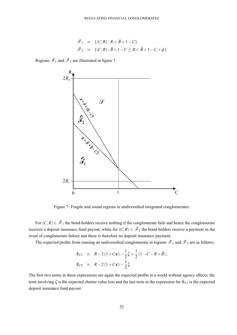$$
\hat{\mathcal{F}}_1 \equiv \{ (C, R) : R < \bar{B} + 1 - C \}
$$
\n
$$
\hat{\mathcal{F}}_2 \equiv \{ (C, R) : \bar{B} + 1 - C \le R < \bar{B} + 1 - C + \rho \}
$$

Regions  $\hat{\mathcal{F}}_1$  and  $\hat{\mathcal{F}}_2$  are illustrated in figure 7.



Figure 7: Fragile and sound regions in undiversified integrated conglomerates.

For  $(C, R) \in \hat{\mathcal{F}}_1$  the bond-holders receive nothing if the conglomerate fails and hence the conglomerate receives a deposit insurance fund payout, while for  $(C, R) \in \hat{\mathcal{F}}_2$  the bond-holders receive a payment in the event of conglomerate failure and there is therefore no deposit insurance payment.

The expected profits from running an undiversified conglomerate in regions  $\hat{\mathcal{F}}_1$  and  $\hat{\mathcal{F}}_2$  are as follows:

$$
\hat{\pi}_{F1} \equiv R - 2(1 + C\kappa) - \frac{1}{2}\zeta + \frac{1}{2}(1 - C - R + \bar{B});
$$
  

$$
\hat{\pi}_{F2} \equiv R - 2(1 + C\kappa) - \frac{1}{2}\zeta.
$$

The first two terms in these expressions are again the expected profits in a world without agency effects; the term involving  $\zeta$  is the expected charter value loss and the last term in the expression for  $\hat{\pi}_{F1}$  is the expected deposit insurance fund payout.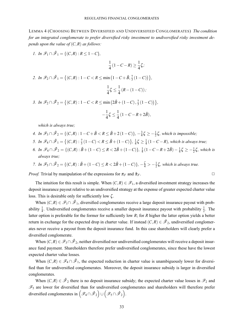LEMMA 4 (CHOOSING BETWEEN DIVERSIFIED AND UNDIVERSIFIED CONGLOMERATES) The condition for an integrated conglomerate to prefer diversified risky investment to undiversified risky investment depends upon the value of  $(C, R)$  as follows:

1. In  $\mathscr{F}_1 \cap \mathscr{F}_1 = \{ (C,R) : R \leq 1 - C \}.$  $\frac{1}{4}(1-C-R) \geq \frac{1}{4}\zeta$ ; 2. In  $\mathscr{F}_2 \cap \mathscr{F}_1 = \{ (C,R) : 1 - C < R \le \min\left(1 - C + \overline{B}, \frac{7}{3}(1-C)\right) \},\$  $\frac{1}{4}\zeta \leq \frac{1}{4}(R-(1-C));$ 3. In  $\mathscr{F}_2 \cap \mathscr{F}_2 = \{ (C,R) : 1 - C < R \le \min(2\bar{B} + (1-C), \frac{7}{2}(1-C) ) \}$  $-\frac{1}{4}\zeta \leq \frac{1}{4}(1-C-R+2\bar{B}),$ 

which is always true;

- 4. In  $\mathscr{F}_3 \cap \mathscr{F}_2 = \{(C,R): 1 C + \overline{B} < R < \overline{B} + 2(1-C)\}, -\frac{3}{4}\zeta > -\frac{1}{2}\zeta$ , which is impossible;
- 5. In  $\mathscr{F}_4 \cap \mathscr{F}_1 = \{(C,R) : \frac{7}{2}(1-C) < R \leq \bar{B} + (1-C) \}$ ,  $\frac{1}{4}\zeta > \frac{1}{4}(1-C-R)$ , which is always true;
- 6. In  $\mathscr{F}_4 \cap \mathscr{F}_2 = \{(C,R): \bar{B} + (1-C) \leq R < 2\bar{B} + (1-C)\}\$ ,  $\frac{1}{4}(1-C-R+2\bar{B}) \frac{1}{4}\zeta \geq -\frac{1}{2}\zeta$ , which is always true;
- 7. In  $\mathscr{F}_5 \cap \hat{\mathscr{F}}_2 = \{(C,R): \bar{B} + (1-C) \leq R < 2\bar{B} + (1-C)\}\$ ,  $-\frac{\zeta}{4} > -\frac{1}{2}\zeta$ , which is always true.

*Proof.* Trivial by manipulation of the expressions for  $\pi_F$  and  $\hat{\pi}_F$ .

The intuition for this result is simple. When  $(C, R) \in \mathcal{F}_1$ , a diversified investment strategy increases the deposit insurance payout relative to an undiversified strategy at the expense of greater expected charter value loss. This is desirable only for sufficiently low  $\zeta$ .

When  $(C, R) \in \mathscr{F}_1 \cap \mathscr{F}_1$ , diversified conglomerates receive a large deposit insurance payout with probability  $\frac{1}{4}$ . Undiversified conglomerates receive a smaller deposit insurance payout with probability  $\frac{1}{2}$ . The latter option is preferable for the former for sufficiently low  $R$ ; for  $R$  higher the latter option yields a better return in exchange for the expected drop in charter value. If instead  $(C, R) \in \hat{\mathscr{F}}_2$ , undiversified conglomerates never receive a payout from the deposit insurance fund. In this case shareholders will clearly prefer a diversified conglomerate.

When  $(C, R) \in \mathscr{F}_3 \cap \mathscr{F}_2$ , neither diversified nor undiversified conglomerates will receive a deposit insurance fund payment. Shareholders therefore prefer undiversified conglomerates, since these have the lowest expected charter value losses.

When  $(C,R) \in \mathscr{F}_4 \cap \hat{\mathscr{F}}_1$ , the expected reduction in charter value is unambiguously lower for diversified than for undiversified conglomerates. Moreover, the deposit insurance subsidy is larger in diversified conglomerates.

When  $(C,R) \in \hat{\mathcal{F}}_2$  there is no deposit insurance subsidy; the expected charter value losses in  $\mathcal{F}_2$  and  $\mathcal{F}_5$  are lower for diversified than for undiversified conglomerates and shareholders will therefore prefer diversified conglomerates in  $(\mathscr{F}_4 \cap \hat{\mathscr{F}}_2) \cup (\mathscr{F}_5 \cap \hat{\mathscr{F}}_2)$ .

 $\Box$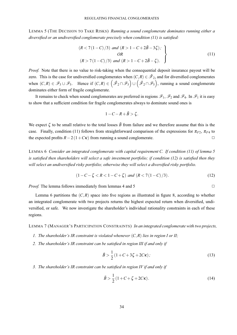LEMMA 5 (THE DECISION TO TAKE RISKS) Running a sound conglomerate dominates running either a diversified or an undiversified conglomerate precisely when condition  $(11)$  is satisfied:

$$
(R < 7(1 - C)/3) \text{ and } (R > 1 - C + 2\bar{B} - 3\zeta);
$$
  
\nOR  
\n
$$
(R > 7(1 - C)/3) \text{ and } (R > 1 - C + 2\bar{B} - \zeta).
$$
\n(11)

Proof. Note that there is no value to risk-taking when the consequential deposit insurance payout will be zero. This is the case for undiversified conglomerates when  $(C, R) \in \hat{\mathcal{F}}_2$ , and for diversified conglomerates when  $(C, R) \in \mathscr{F}_3 \cup \mathscr{F}_5$ . Hence if  $(C, R) \in (\hat{\mathscr{F}}_2 \cap \mathscr{F}_3) \cup (\hat{\mathscr{F}}_2 \cap \mathscr{F}_5)$ , running a sound conglomerate dominates either form of fragile conglomerate.

It remains to check when sound conglomerates are preferred in regions  $\mathscr{F}_1$ ,  $\mathscr{F}_2$  and  $\mathscr{F}_4$ . In  $\mathscr{F}_1$  it is easy to show that a sufficient condition for fragile conglomerates always to dominate sound ones is

$$
1 - C - R + \bar{B} > \zeta
$$

We expect  $\zeta$  to be small relative to the total losses  $\bar{B}$  from failure and we therefore assume that this is the case. Finally, condition (11) follows from straightforward comparison of the expressions for  $\pi_{F2}$ ,  $\pi_{F4}$  to the expected profits  $R - 2(1 + C\kappa)$  from running a sound conglomerate.  $\Box$ 

LEMMA 6 Consider an integrated conglomerate with capital requirement C. If condition (11) of lemma 5 is satisfied then shareholders will select a safe investment portfolio; if condition  $(12)$  is satisfied then they will select an undiversified risky portfolio; otherwise they will select a diversified risky portfolio.

$$
(1 - C - \zeta < R < 1 - C + \zeta) \text{ and } (R < 7(1 - C)/3). \tag{12}
$$

*Proof.* The lemma follows immediately from lemmas 4 and 5

Lemma 6 partitions the  $(C, R)$  space into five regions as illustrated in figure 8, according to whether an integrated conglomerate with two projects returns the highest expected return when diversified, undiversified, or safe. We now investigate the shareholder's individual rationality constraints in each of these regions.

LEMMA 7 (MANAGER'S PARTICIPATION CONSTRAINTS) In an integrated conglomerate with two projects,

- 1. The shareholder's IR constraint is violated whenever  $(C, R)$  lies in region I or II;
- 2. The shareholder's IR constraint can be satisfied in region III if and only if

$$
\bar{B} > \frac{1}{2} (1 + C + 3\zeta + 2C\kappa);
$$
\n(13)

3. The shareholder's IR constraint can be satisfied in region IV if and only if

$$
\bar{B} > \frac{1}{2} (1 + C + \zeta + 2C\kappa). \tag{14}
$$

 $\Box$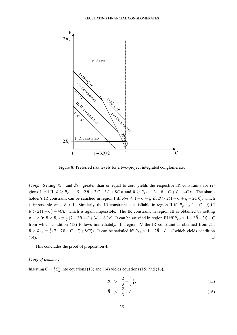

Figure 8: Preferred risk levels for a two-project integrated conglomerate.

*Proof.* Setting  $\pi_{F1}$  and  $\hat{\pi}_{F1}$  greater than or equal to zero yields the respective IR constraints for regions I and II:  $R \ge R_{F1} \equiv 5 - 2B + 3C + 3\zeta + 8C\kappa$  and  $R \ge R_{\hat{F}_1} \equiv 3 - B + C + \zeta + 4C\kappa$ . The shareholder's IR constraint can be satisfied in region I iff  $R_{F1} \le 1 - C - \zeta$  iff  $B > 2(1 + C + \zeta + 2C\kappa)$ , which is impossible since  $B < 1$ . Similarly, the IR constraint is satisfiable in region II iff  $R_{\hat{F}_1} \leq 1 - C + \zeta$  iff  $B > 2(1+C) + 4C\kappa$ , which is again impossible. The IR constraint in region III is obtained by setting  $\pi_{F2} \geq 0$ :  $R \geq R_{F2} \equiv \frac{1}{3}(7-2B+C+3\zeta+8C\kappa)$ . It can be satisfied in region III iff  $R_{F2} \leq 1+2\bar{B}-3\zeta-C$ from which condition (13) follows immediately. In region IV the IR constraint is obtained from  $\pi_4$ :  $R \ge R_{F4} \equiv \frac{1}{3}(7 - 2B + C + \zeta + 8C\zeta)$ . It can be satisfied iff  $R_{F4} \le 1 + 2\overline{B} - \zeta - C$  which yields condition  $(14)$ .  $\Box$ 

This concludes the proof of proposition 4.

#### Proof of Lemma 1

Inserting  $C = \frac{1}{2}C_S^*$  into equations (13) and (14) yields equations (15) and (16).

$$
\bar{B} > \frac{2}{3} + \frac{5}{3}\zeta; \tag{15}
$$

$$
\bar{B} > \frac{2}{3} + \zeta. \tag{16}
$$